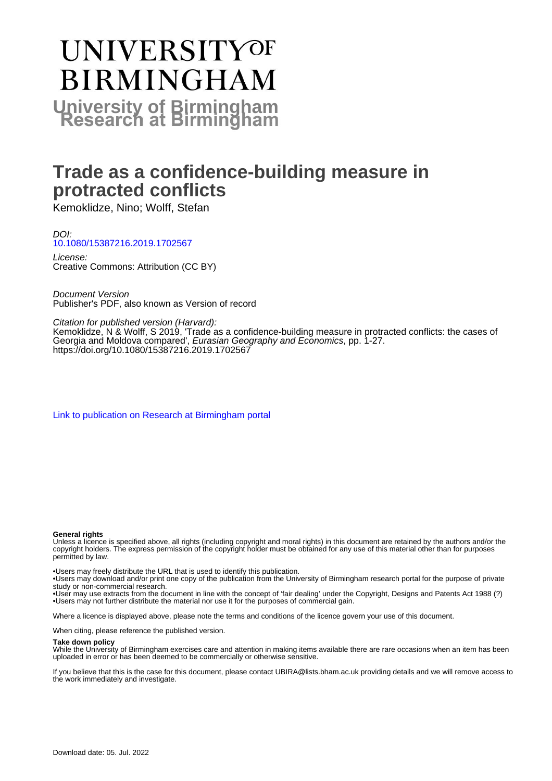# **UNIVERSITYOF BIRMINGHAM University of Birmingham**

# **Trade as a confidence-building measure in protracted conflicts**

Kemoklidze, Nino; Wolff, Stefan

DOI: [10.1080/15387216.2019.1702567](https://doi.org/10.1080/15387216.2019.1702567)

License: Creative Commons: Attribution (CC BY)

Document Version Publisher's PDF, also known as Version of record

Citation for published version (Harvard):

Kemoklidze, N & Wolff, S 2019, 'Trade as a confidence-building measure in protracted conflicts: the cases of Georgia and Moldova compared', Eurasian Geography and Economics, pp. 1-27. <https://doi.org/10.1080/15387216.2019.1702567>

[Link to publication on Research at Birmingham portal](https://birmingham.elsevierpure.com/en/publications/d2005801-1350-4fa8-b0dd-49c544ea5364)

#### **General rights**

Unless a licence is specified above, all rights (including copyright and moral rights) in this document are retained by the authors and/or the copyright holders. The express permission of the copyright holder must be obtained for any use of this material other than for purposes permitted by law.

• Users may freely distribute the URL that is used to identify this publication.

• Users may download and/or print one copy of the publication from the University of Birmingham research portal for the purpose of private study or non-commercial research.

• User may use extracts from the document in line with the concept of 'fair dealing' under the Copyright, Designs and Patents Act 1988 (?) • Users may not further distribute the material nor use it for the purposes of commercial gain.

Where a licence is displayed above, please note the terms and conditions of the licence govern your use of this document.

When citing, please reference the published version.

#### **Take down policy**

While the University of Birmingham exercises care and attention in making items available there are rare occasions when an item has been uploaded in error or has been deemed to be commercially or otherwise sensitive.

If you believe that this is the case for this document, please contact UBIRA@lists.bham.ac.uk providing details and we will remove access to the work immediately and investigate.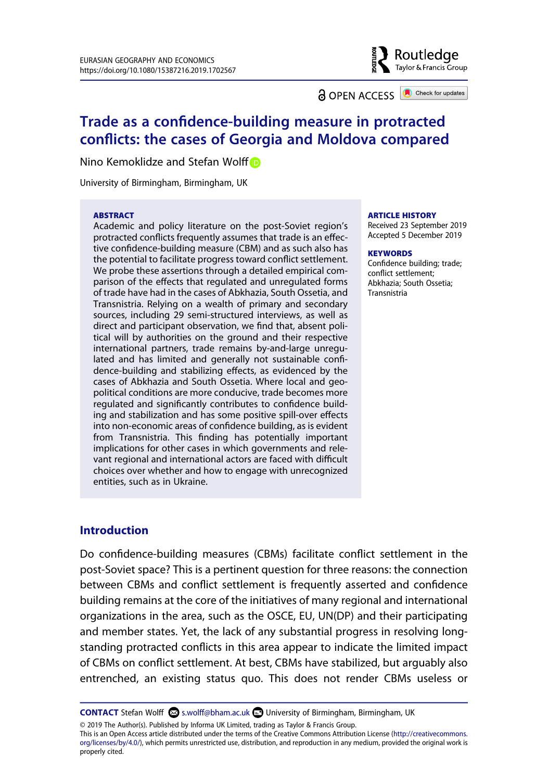

**a** OPEN ACCESS **a** Check for updates

# **Trade as a confidence-building measure in protracted conflicts: the cases of Georgia and Moldova compared**

Nino Kemoklidze and Stefan Wolff<sup>®</sup>

University of Birmingham, Birmingham, UK�

#### **ABSTRACT**

Academic and policy literature on the post-Soviet region's protracted conflicts frequently assumes that trade is an effective confidence-building measure (CBM) and as such also has the potential to facilitate progress toward conflict settlement. We probe these assertions through a detailed empirical comparison of the effects that regulated and unregulated forms of trade have had in the cases of Abkhazia, South Ossetia, and Transnistria. Relying on a wealth of primary and secondary sources, including 29 semi-structured interviews, as well as direct and participant observation, we find that, absent political will by authorities on the ground and their respective international partners, trade remains by-and-large unregulated and has limited and generally not sustainable confidence-building and stabilizing effects, as evidenced by the cases of Abkhazia and South Ossetia. Where local and geopolitical conditions are more conducive, trade becomes more regulated and significantly contributes to confidence building and stabilization and has some positive spill-over effects into non-economic areas of confidence building, as is evident from Transnistria. This finding has potentially important implications for other cases in which governments and relevant regional and international actors are faced with difficult choices over whether and how to engage with unrecognized entities, such as in Ukraine.

#### **ARTICLE HISTORY**

Received 23 September 2019 Accepted 5 December 2019

#### **KEYWORDS**�

Confidence building; trade; conflict settlement; Abkhazia; South Ossetia; Transnistria

# **Introduction**

�Do confidence-building measures (CBMs) facilitate conflict settlement in the post-Soviet space? This is a pertinent question for three reasons: the connection between CBMs and conflict settlement is frequently asserted and confidence building remains at the core of the initiatives of many regional and international organizations in the area, such as the OSCE, EU, UN(DP) and their participating and member states. Yet, the lack of any substantial progress in resolving longstanding protracted conflicts in this area appear to indicate the limited impact of CBMs on conflict settlement. At best, CBMs have stabilized, but arguably also entrenched, an existing status quo. This does not render CBMs useless or

**CONTACT** Stefan Wolff S.wolff@bham.ac.uk DUniversity of Birmingham, Birmingham, UK

© 2019 The Author(s). Published by Informa UK Limited, trading as Taylor & Francis Group.

This is an Open Access article distributed under the terms of the Creative Commons Attribution License (http://creativecommons. org/licenses/by/4.0/), which permits unrestricted use, distribution, and reproduction in any medium, provided the original work is properly cited.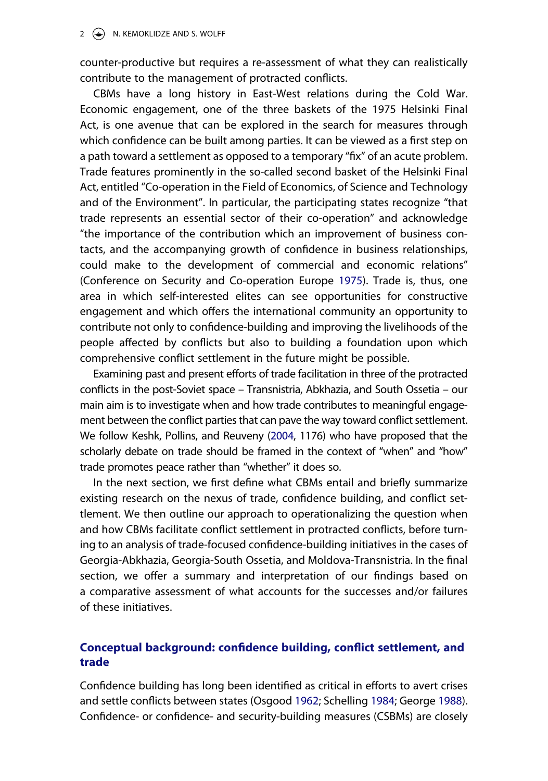counter-productive but requires a re-assessment of what they can realistically contribute to the management of protracted conflicts.

CBMs have a long history in East-West relations during the Cold War. Economic engagement, one of the three baskets of the 1975 Helsinki Final Act, is one avenue that can be explored in the search for measures through which confidence can be built among parties. It can be viewed as a first step on a path toward a settlement as opposed to a temporary "fix" of an acute problem. Trade features prominently in the so-called second basket of the Helsinki Final Act, entitled "Co-operation in the Field of Economics, of Science and Technology and of the Environment". In particular, the participating states recognize "that trade represents an essential sector of their co-operation" and acknowledge "the importance of the contribution which an improvement of business contacts, and the accompanying growth of confidence in business relationships, could make to the development of commercial and economic relations" (Conference on Security and Co-operation Europe [1975\)](#page-24-0). Trade is, thus, one area in which self-interested elites can see opportunities for constructive engagement and which offers the international community an opportunity to contribute not only to confidence-building and improving the livelihoods of the people affected by conflicts but also to building a foundation upon which comprehensive conflict settlement in the future might be possible.

<span id="page-2-0"></span>Examining past and present efforts of trade facilitation in three of the protracted conflicts in the post-Soviet space – Transnistria, Abkhazia, and South Ossetia – our main aim is to investigate when and how trade contributes to meaningful engagement between the conflict parties that can pave the way toward conflict settlement. We follow Keshk, Pollins, and Reuveny ([2004](#page-25-0), 1176) who have proposed that the scholarly debate on trade should be framed in the context of "when" and "how" trade promotes peace rather than "whether" it does so.

<span id="page-2-2"></span>In the next section, we first define what CBMs entail and briefly summarize existing research on the nexus of trade, confidence building, and conflict settlement. We then outline our approach to operationalizing the question when and how CBMs facilitate conflict settlement in protracted conflicts, before turning to an analysis of trade-focused confidence-building initiatives in the cases of Georgia-Abkhazia, Georgia-South Ossetia, and Moldova-Transnistria. In the final section, we offer a summary and interpretation of our findings based on a comparative assessment of what accounts for the successes and/or failures of these initiatives.

# **Conceptual background: confidence building, conflict settlement, and trade**

<span id="page-2-1"></span>Confidence building has long been identified as critical in efforts to avert crises and settle conflicts between states (Osgood [1962;](#page-26-0) Schelling [1984](#page-27-0); George [1988](#page-24-1)). Confidence- or confidence- and security-building measures (CSBMs) are closely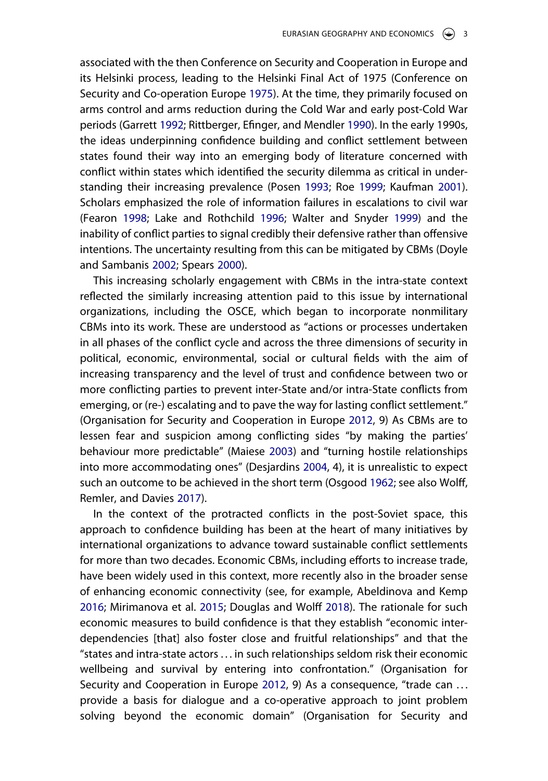<span id="page-3-5"></span>associated with the then Conference on Security and Cooperation in Europe and its Helsinki process, leading to the Helsinki Final Act of 1975 (Conference on Security and Co-operation Europe [1975\)](#page-24-0). At the time, they primarily focused on arms control and arms reduction during the Cold War and early post-Cold War periods (Garrett [1992](#page-24-2); Rittberger, Efinger, and Mendler [1990](#page-27-1)). In the early 1990s, the ideas underpinning confidence building and conflict settlement between states found their way into an emerging body of literature concerned with conflict within states which identified the security dilemma as critical in understanding their increasing prevalence (Posen [1993](#page-27-2); Roe [1999;](#page-27-3) Kaufman [2001](#page-25-1)). Scholars emphasized the role of information failures in escalations to civil war (Fearon [1998](#page-24-3); Lake and Rothchild [1996;](#page-25-2) Walter and Snyder [1999](#page-27-4)) and the inability of conflict parties to signal credibly their defensive rather than offensive intentions. The uncertainty resulting from this can be mitigated by CBMs (Doyle and Sambanis [2002;](#page-24-4) Spears [2000](#page-27-5)).

<span id="page-3-6"></span><span id="page-3-4"></span><span id="page-3-3"></span>This increasing scholarly engagement with CBMs in the intra-state context reflected the similarly increasing attention paid to this issue by international organizations, including the OSCE, which began to incorporate nonmilitary CBMs into its work. These are understood as "actions or processes undertaken in all phases of the conflict cycle and across the three dimensions of security in political, economic, environmental, social or cultural fields with the aim of increasing transparency and the level of trust and confidence between two or more conflicting parties to prevent inter-State and/or intra-State conflicts from emerging, or (re-) escalating and to pave the way for lasting conflict settlement." (Organisation for Security and Cooperation in Europe [2012,](#page-26-1) 9) As CBMs are to lessen fear and suspicion among conflicting sides "by making the parties' behaviour more predictable" (Maiese [2003](#page-26-2)) and "turning hostile relationships into more accommodating ones" (Desjardins [2004,](#page-24-5) 4), it is unrealistic to expect such an outcome to be achieved in the short term (Osgood [1962](#page-26-0); see also Wolff, Remler, and Davies [2017](#page-27-6)).

<span id="page-3-9"></span><span id="page-3-8"></span><span id="page-3-7"></span><span id="page-3-2"></span><span id="page-3-1"></span><span id="page-3-0"></span>In the context of the protracted conflicts in the post-Soviet space, this approach to confidence building has been at the heart of many initiatives by international organizations to advance toward sustainable conflict settlements for more than two decades. Economic CBMs, including efforts to increase trade, have been widely used in this context, more recently also in the broader sense of enhancing economic connectivity (see, for example, Abeldinova and Kemp [2016;](#page-23-0) Mirimanova et al. [2015](#page-26-3); Douglas and Wolff [2018\)](#page-24-6). The rationale for such economic measures to build confidence is that they establish "economic interdependencies [that] also foster close and fruitful relationships" and that the "states and intra-state actors . . . in such relationships seldom risk their economic wellbeing and survival by entering into confrontation." (Organisation for Security and Cooperation in Europe [2012,](#page-26-1) 9) As a consequence, "trade can ... provide a basis for dialogue and a co-operative approach to joint problem solving beyond the economic domain" (Organisation for Security and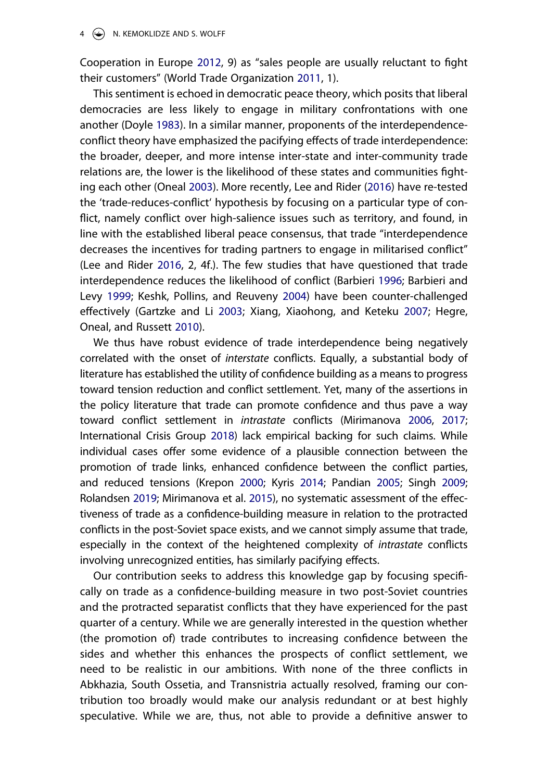<span id="page-4-11"></span>Cooperation in Europe [2012](#page-26-1), 9) as "sales people are usually reluctant to fight their customers" (World Trade Organization [2011](#page-27-7), 1).

<span id="page-4-9"></span><span id="page-4-2"></span>This sentiment is echoed in democratic peace theory, which posits that liberal democracies are less likely to engage in military confrontations with one another (Doyle [1983](#page-24-7)). In a similar manner, proponents of the interdependenceconflict theory have emphasized the pacifying effects of trade interdependence: the broader, deeper, and more intense inter-state and inter-community trade relations are, the lower is the likelihood of these states and communities fighting each other (Oneal [2003\)](#page-26-4). More recently, Lee and Rider ([2016](#page-25-3)) have re-tested the 'trade-reduces-conflict' hypothesis by focusing on a particular type of conflict, namely conflict over high-salience issues such as territory, and found, in line with the established liberal peace consensus, that trade "interdependence decreases the incentives for trading partners to engage in militarised conflict" (Lee and Rider [2016](#page-25-3), 2, 4f.). The few studies that have questioned that trade interdependence reduces the likelihood of conflict (Barbieri [1996](#page-23-1); Barbieri and Levy [1999;](#page-23-2) Keshk, Pollins, and Reuveny [2004](#page-25-0)) have been counter-challenged effectively (Gartzke and Li [2003](#page-24-8); Xiang, Xiaohong, and Keteku [2007](#page-27-8); Hegre, Oneal, and Russett [2010](#page-24-9)).

<span id="page-4-8"></span><span id="page-4-7"></span><span id="page-4-5"></span><span id="page-4-4"></span><span id="page-4-3"></span><span id="page-4-1"></span><span id="page-4-0"></span>We thus have robust evidence of trade interdependence being negatively correlated with the onset of *interstate* conflicts. Equally, a substantial body of literature has established the utility of confidence building as a means to progress toward tension reduction and conflict settlement. Yet, many of the assertions in the policy literature that trade can promote confidence and thus pave a way toward conflict settlement in *intrastate* conflicts (Mirimanova [2006,](#page-26-5) [2017](#page-26-6); International Crisis Group [2018\)](#page-25-4) lack empirical backing for such claims. While individual cases offer some evidence of a plausible connection between the promotion of trade links, enhanced confidence between the conflict parties, and reduced tensions (Krepon [2000](#page-25-5); Kyris [2014](#page-25-6); Pandian [2005](#page-26-7); Singh [2009](#page-27-9); Rolandsen [2019](#page-27-10); Mirimanova et al. [2015](#page-26-3)), no systematic assessment of the effectiveness of trade as a confidence-building measure in relation to the protracted conflicts in the post-Soviet space exists, and we cannot simply assume that trade, especially in the context of the heightened complexity of *intrastate* conflicts involving unrecognized entities, has similarly pacifying effects.

<span id="page-4-10"></span><span id="page-4-6"></span>Our contribution seeks to address this knowledge gap by focusing specifically on trade as a confidence-building measure in two post-Soviet countries and the protracted separatist conflicts that they have experienced for the past quarter of a century. While we are generally interested in the question whether (the promotion of) trade contributes to increasing confidence between the sides and whether this enhances the prospects of conflict settlement, we need to be realistic in our ambitions. With none of the three conflicts in Abkhazia, South Ossetia, and Transnistria actually resolved, framing our contribution too broadly would make our analysis redundant or at best highly speculative. While we are, thus, not able to provide a definitive answer to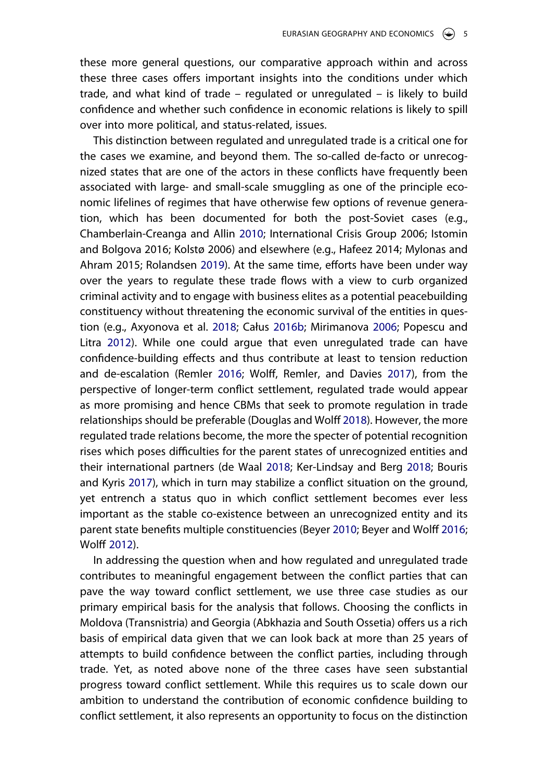these more general questions, our comparative approach within and across these three cases offers important insights into the conditions under which trade, and what kind of trade – regulated or unregulated – is likely to build confidence and whether such confidence in economic relations is likely to spill over into more political, and status-related, issues.

<span id="page-5-5"></span><span id="page-5-3"></span><span id="page-5-0"></span>This distinction between regulated and unregulated trade is a critical one for the cases we examine, and beyond them. The so-called de-facto or unrecognized states that are one of the actors in these conflicts have frequently been associated with large- and small-scale smuggling as one of the principle economic lifelines of regimes that have otherwise few options of revenue generation, which has been documented for both the post-Soviet cases (e.g., Chamberlain-Creanga and Allin [2010](#page-23-3); International Crisis Group 2006�; Istomin and Bolgova 2016; Kolstø 2006) and elsewhere (e.g., Hafeez 2014; Mylonas and Ahram 2015; Rolandsen [2019](#page-27-10)). At the same time, efforts have been under way over the years to regulate these trade flows with a view to curb organized criminal activity and to engage with business elites as a potential peacebuilding constituency without threatening the economic survival of the entities in question (e.g., Axyonova et al. [2018;](#page-23-4) Całus [2016b;](#page-23-5) Mirimanova [2006](#page-26-5); Popescu and Litra [2012](#page-27-11)). While one could argue that even unregulated trade can have confidence-building effects and thus contribute at least to tension reduction and de-escalation (Remler [2016;](#page-27-12) Wolff, Remler, and Davies [2017\)](#page-27-6), from the perspective of longer-term conflict settlement, regulated trade would appear as more promising and hence CBMs that seek to promote regulation in trade relationships should be preferable (Douglas and Wolff [2018](#page-24-6)). However, the more regulated trade relations become, the more the specter of potential recognition rises which poses difficulties for the parent states of unrecognized entities and their international partners (de Waal [2018](#page-24-10); Ker-Lindsay and Berg [2018](#page-25-7); Bouris and Kyris [2017](#page-23-6)), which in turn may stabilize a conflict situation on the ground, yet entrench a status quo in which conflict settlement becomes ever less important as the stable co-existence between an unrecognized entity and its parent state benefits multiple constituencies (Beyer [2010](#page-23-7); Beyer and Wolff [2016](#page-23-8); Wolff [2012\)](#page-27-13).

<span id="page-5-7"></span><span id="page-5-6"></span><span id="page-5-4"></span><span id="page-5-2"></span><span id="page-5-1"></span>In addressing the question when and how regulated and unregulated trade contributes to meaningful engagement between the conflict parties that can pave the way toward conflict settlement, we use three case studies as our primary empirical basis for the analysis that follows. Choosing the conflicts in Moldova (Transnistria) and Georgia (Abkhazia and South Ossetia) offers us a rich basis of empirical data given that we can look back at more than 25 years of attempts to build confidence between the conflict parties, including through trade. Yet, as noted above none of the three cases have seen substantial progress toward conflict settlement. While this requires us to scale down our ambition to understand the contribution of economic confidence building to conflict settlement, it also represents an opportunity to focus on the distinction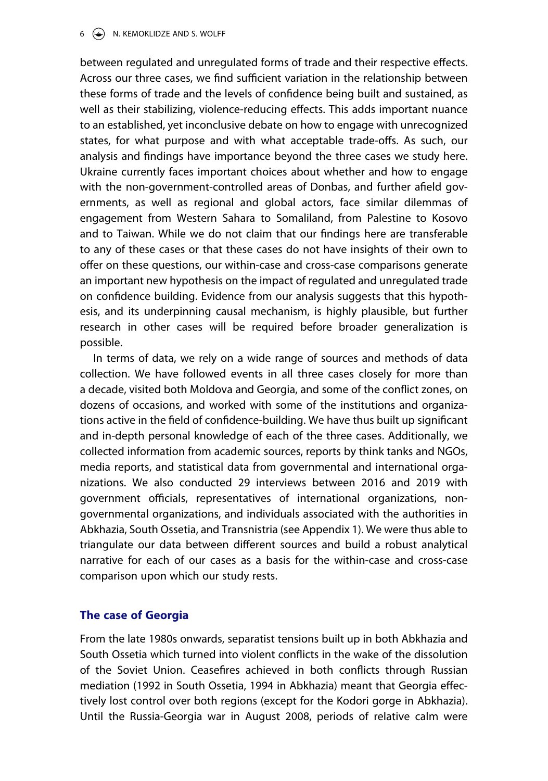$6 \quad \circledast$  N. KEMOKLIDZE AND S. WOLFF

between regulated and unregulated forms of trade and their respective effects. Across our three cases, we find sufficient variation in the relationship between these forms of trade and the levels of confidence being built and sustained, as well as their stabilizing, violence-reducing effects. This adds important nuance to an established, yet inconclusive debate on how to engage with unrecognized states, for what purpose and with what acceptable trade-offs. As such, our analysis and findings have importance beyond the three cases we study here. Ukraine currently faces important choices about whether and how to engage with the non-government-controlled areas of Donbas, and further afield governments, as well as regional and global actors, face similar dilemmas of engagement from Western Sahara to Somaliland, from Palestine to Kosovo and to Taiwan. While we do not claim that our findings here are transferable to any of these cases or that these cases do not have insights of their own to offer on these questions, our within-case and cross-case comparisons generate an important new hypothesis on the impact of regulated and unregulated trade on confidence building. Evidence from our analysis suggests that this hypothesis, and its underpinning causal mechanism, is highly plausible, but further research in other cases will be required before broader generalization is possible.

In terms of data, we rely on a wide range of sources and methods of data collection. We have followed events in all three cases closely for more than a decade, visited both Moldova and Georgia, and some of the conflict zones, on dozens of occasions, and worked with some of the institutions and organizations active in the field of confidence-building. We have thus built up significant and in-depth personal knowledge of each of the three cases. Additionally, we collected information from academic sources, reports by think tanks and NGOs, media reports, and statistical data from governmental and international organizations. We also conducted 29 interviews between 2016 and 2019 with government officials, representatives of international organizations, nongovernmental organizations, and individuals associated with the authorities in Abkhazia, South Ossetia, and Transnistria (see Appendix 1). We were thus able to triangulate our data between different sources and build a robust analytical narrative for each of our cases as a basis for the within-case and cross-case comparison upon which our study rests.

# **The case of Georgia**

From the late 1980s onwards, separatist tensions built up in both Abkhazia and South Ossetia which turned into violent conflicts in the wake of the dissolution of the Soviet Union. Ceasefires achieved in both conflicts through Russian mediation (1992 in South Ossetia, 1994 in Abkhazia) meant that Georgia effectively lost control over both regions (except for the Kodori gorge in Abkhazia). Until the Russia-Georgia war in August 2008, periods of relative calm were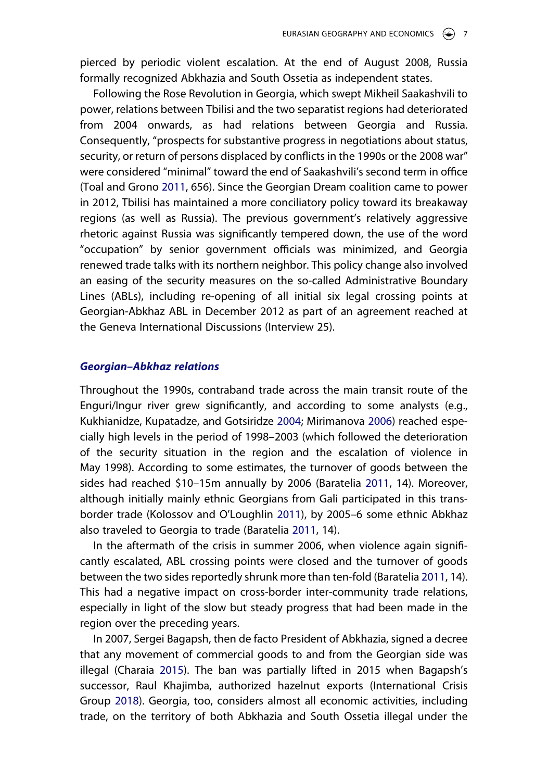pierced by periodic violent escalation. At the end of August 2008, Russia formally recognized Abkhazia and South Ossetia as independent states.

<span id="page-7-4"></span>Following the Rose Revolution in Georgia, which swept Mikheil Saakashvili to power, relations between Tbilisi and the two separatist regions had deteriorated from 2004 onwards, as had relations between Georgia and Russia. Consequently, "prospects for substantive progress in negotiations about status, security, or return of persons displaced by conflicts in the 1990s or the 2008 war" were considered "minimal" toward the end of Saakashvili's second term in office (Toal and Grono [2011](#page-27-14), 656). Since the Georgian Dream coalition came to power in 2012, Tbilisi has maintained a more conciliatory policy toward its breakaway regions (as well as Russia). The previous government's relatively aggressive rhetoric against Russia was significantly tempered down, the use of the word "occupation" by senior government officials was minimized, and Georgia renewed trade talks with its northern neighbor. This policy change also involved an easing of the security measures on the so-called Administrative Boundary Lines (ABLs), including re-opening of all initial six legal crossing points at Georgian-Abkhaz ABL in December 2012 as part of an agreement reached at the Geneva International Discussions (Interview 25).

# *Georgian–Abkhaz relations*

<span id="page-7-3"></span>Throughout the 1990s, contraband trade across the main transit route of the Enguri/Ingur river grew significantly, and according to some analysts (e.g., Kukhianidze, Kupatadze, and Gotsiridze [2004](#page-25-8); Mirimanova [2006](#page-26-5)) reached especially high levels in the period of 1998–2003 (which followed the deterioration of the security situation in the region and the escalation of violence in May 1998). According to some estimates, the turnover of goods between the sides had reached \$10–15m annually by 2006 (Baratelia [2011,](#page-23-9) 14). Moreover, although initially mainly ethnic Georgians from Gali participated in this transborder trade (Kolossov and O'Loughlin [2011](#page-25-9)), by 2005–6 some ethnic Abkhaz also traveled to Georgia to trade (Baratelia [2011,](#page-23-9) 14).

<span id="page-7-2"></span><span id="page-7-0"></span>In the aftermath of the crisis in summer 2006, when violence again significantly escalated, ABL crossing points were closed and the turnover of goods between the two sides reportedly shrunk more than ten-fold (Baratelia [2011](#page-23-9), 14). This had a negative impact on cross-border inter-community trade relations, especially in light of the slow but steady progress that had been made in the region over the preceding years.

<span id="page-7-1"></span>In 2007, Sergei Bagapsh, then de facto President of Abkhazia, signed a decree that any movement of commercial goods to and from the Georgian side was illegal (Charaia [2015](#page-23-10)). The ban was partially lifted in 2015 when Bagapsh's successor, Raul Khajimba, authorized hazelnut exports (International Crisis Group [2018](#page-25-4)). Georgia, too, considers almost all economic activities, including trade, on the territory of both Abkhazia and South Ossetia illegal under the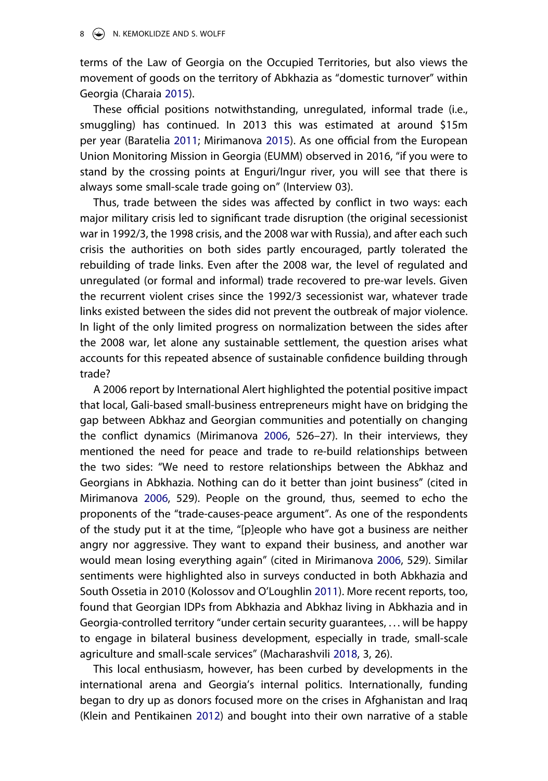#### $8 \quad (*)$  N. KEMOKLIDZE AND S. WOLFF

terms of the Law of Georgia on the Occupied Territories, but also views the movement of goods on the territory of Abkhazia as "domestic turnover" within Georgia (Charaia [2015](#page-23-10)).

<span id="page-8-2"></span>These official positions notwithstanding, unregulated, informal trade (i.e., smuggling) has continued. In 2013 this was estimated at around \$15m per year (Baratelia [2011](#page-23-9); Mirimanova [2015](#page-26-8)). As one official from the European Union Monitoring Mission in Georgia (EUMM) observed in 2016, "if you were to stand by the crossing points at Enguri/Ingur river, you will see that there is always some small-scale trade going on" (Interview 03).

Thus, trade between the sides was affected by conflict in two ways: each major military crisis led to significant trade disruption (the original secessionist war in 1992/3, the 1998 crisis, and the 2008 war with Russia), and after each such crisis the authorities on both sides partly encouraged, partly tolerated the rebuilding of trade links. Even after the 2008 war, the level of regulated and unregulated (or formal and informal) trade recovered to pre-war levels. Given the recurrent violent crises since the 1992/3 secessionist war, whatever trade links existed between the sides did not prevent the outbreak of major violence. In light of the only limited progress on normalization between the sides after the 2008 war, let alone any sustainable settlement, the question arises what accounts for this repeated absence of sustainable confidence building through trade?

A 2006 report by International Alert highlighted the potential positive impact that local, Gali-based small-business entrepreneurs might have on bridging the gap between Abkhaz and Georgian communities and potentially on changing the conflict dynamics (Mirimanova [2006](#page-26-5), 526–27). In their interviews, they mentioned the need for peace and trade to re-build relationships between the two sides: "We need to restore relationships between the Abkhaz and Georgians in Abkhazia. Nothing can do it better than joint business" (cited in Mirimanova [2006](#page-26-5), 529). People on the ground, thus, seemed to echo the proponents of the "trade-causes-peace argument". As one of the respondents of the study put it at the time, "[p]eople who have got a business are neither angry nor aggressive. They want to expand their business, and another war would mean losing everything again" (cited in Mirimanova [2006](#page-26-5), 529). Similar sentiments were highlighted also in surveys conducted in both Abkhazia and South Ossetia in 2010 (Kolossov and O'Loughlin [2011\)](#page-25-9). More recent reports, too, found that Georgian IDPs from Abkhazia and Abkhaz living in Abkhazia and in Georgia-controlled territory "under certain security guarantees, . . . will be happy to engage in bilateral business development, especially in trade, small-scale agriculture and small-scale services" (Macharashvili [2018,](#page-26-9) 3, 26).

<span id="page-8-1"></span><span id="page-8-0"></span>This local enthusiasm, however, has been curbed by developments in the international arena and Georgia's internal politics. Internationally, funding began to dry up as donors focused more on the crises in Afghanistan and Iraq (Klein and Pentikainen [2012](#page-25-10)) and bought into their own narrative of a stable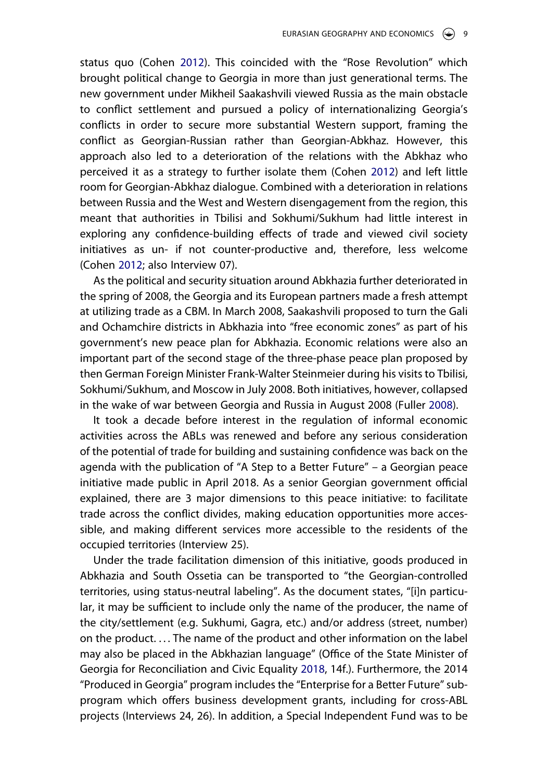status quo (Cohen [2012\)](#page-23-11). This coincided with the "Rose Revolution" which brought political change to Georgia in more than just generational terms. The new government under Mikheil Saakashvili viewed Russia as the main obstacle to conflict settlement and pursued a policy of internationalizing Georgia's conflicts in order to secure more substantial Western support, framing the conflict as Georgian-Russian rather than Georgian-Abkhaz. However, this approach also led to a deterioration of the relations with the Abkhaz who perceived it as a strategy to further isolate them (Cohen [2012\)](#page-23-11) and left little room for Georgian-Abkhaz dialogue. Combined with a deterioration in relations between Russia and the West and Western disengagement from the region, this meant that authorities in Tbilisi and Sokhumi/Sukhum had little interest in exploring any confidence-building effects of trade and viewed civil society initiatives as un- if not counter-productive and, therefore, less welcome (Cohen [2012](#page-23-11); also Interview 07).

<span id="page-9-0"></span>As the political and security situation around Abkhazia further deteriorated in the spring of 2008, the Georgia and its European partners made a fresh attempt at utilizing trade as a CBM. In March 2008, Saakashvili proposed to turn the Gali and Ochamchire districts in Abkhazia into "free economic zones" as part of his government's new peace plan for Abkhazia. Economic relations were also an important part of the second stage of the three-phase peace plan proposed by then German Foreign Minister Frank-Walter Steinmeier during his visitsto Tbilisi, Sokhumi/Sukhum, and Moscow in July 2008. Both initiatives, however, collapsed in the wake of war between Georgia and Russia in August 2008 (Fuller [2008\)](#page-24-11).

<span id="page-9-1"></span>It took a decade before interest in the regulation of informal economic activities across the ABLs was renewed and before any serious consideration of the potential of trade for building and sustaining confidence was back on the agenda with the publication of "A Step to a Better Future" – a Georgian peace initiative made public in April 2018. As a senior Georgian government official explained, there are 3 major dimensions to this peace initiative: to facilitate trade across the conflict divides, making education opportunities more accessible, and making different services more accessible to the residents of the occupied territories (Interview 25).

<span id="page-9-2"></span>Under the trade facilitation dimension of this initiative, goods produced in Abkhazia and South Ossetia can be transported to "the Georgian-controlled territories, using status-neutral labeling". As the document states, "[i]n particular, it may be sufficient to include only the name of the producer, the name of the city/settlement (e.g. Sukhumi, Gagra, etc.) and/or address (street, number) on the product.... The name of the product and other information on the label may also be placed in the Abkhazian language" (Office of the State Minister of Georgia for Reconciliation and Civic Equality [2018](#page-26-10), 14f.). Furthermore, the 2014 "Produced in Georgia" program includes the "Enterprise for a Better Future" subprogram which offers business development grants, including for cross-ABL projects (Interviews 24, 26). In addition, a Special Independent Fund was to be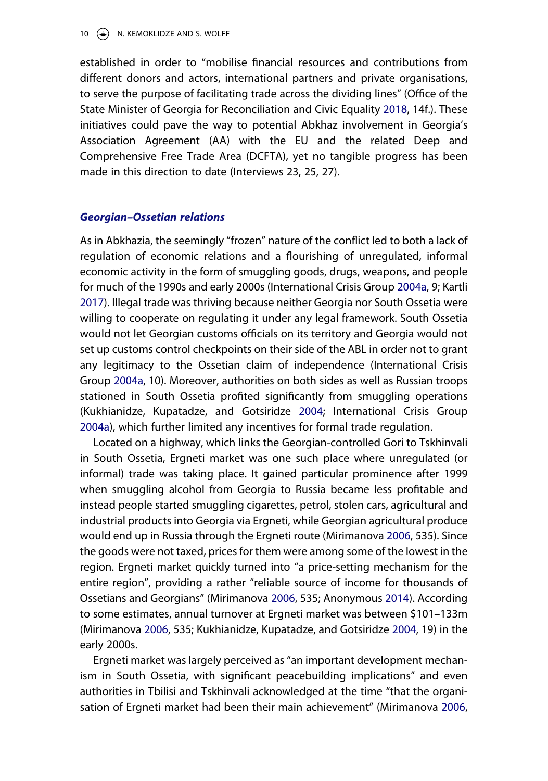established in order to "mobilise financial resources and contributions from different donors and actors, international partners and private organisations, to serve the purpose of facilitating trade across the dividing lines" (Office of the State Minister of Georgia for Reconciliation and Civic Equality [2018,](#page-26-10) 14f.). These initiatives could pave the way to potential Abkhaz involvement in Georgia's Association Agreement (AA) with the EU and the related Deep and Comprehensive Free Trade Area (DCFTA), yet no tangible progress has been made in this direction to date (Interviews 23, 25, 27).

### *Georgian–Ossetian relations*

<span id="page-10-2"></span>As in Abkhazia, the seemingly "frozen" nature of the conflict led to both a lack of regulation of economic relations and a flourishing of unregulated, informal economic activity in the form of smuggling goods, drugs, weapons, and people for much of the 1990s and early 2000s (International Crisis Group [2004a](#page-25-11), 9; Kartli [2017\)](#page-25-12). Illegal trade was thriving because neither Georgia nor South Ossetia were willing to cooperate on regulating it under any legal framework. South Ossetia would not let Georgian customs officials on its territory and Georgia would not set up customs control checkpoints on their side of the ABL in order not to grant any legitimacy to the Ossetian claim of independence (International Crisis Group [2004a](#page-25-11), 10). Moreover, authorities on both sides as well as Russian troops stationed in South Ossetia profited significantly from smuggling operations (Kukhianidze, Kupatadze, and Gotsiridze [2004;](#page-25-8) International Crisis Group [2004a\)](#page-25-11), which further limited any incentives for formal trade regulation.

<span id="page-10-1"></span>Located on a highway, which links the Georgian-controlled Gori to Tskhinvali in South Ossetia, Ergneti market was one such place where unregulated (or informal) trade was taking place. It gained particular prominence after 1999 when smuggling alcohol from Georgia to Russia became less profitable and instead people started smuggling cigarettes, petrol, stolen cars, agricultural and industrial products into Georgia via Ergneti, while Georgian agricultural produce would end up in Russia through the Ergneti route (Mirimanova [2006,](#page-26-5) 535). Since the goods were not taxed, prices for them were among some of the lowest in the region. Ergneti market quickly turned into "a price-setting mechanism for the entire region", providing a rather "reliable source of income for thousands of Ossetians and Georgians" (Mirimanova [2006,](#page-26-5) 535; Anonymous [2014\)](#page-23-12). According to some estimates, annual turnover at Ergneti market was between \$101–133m (Mirimanova [2006](#page-26-5), 535; Kukhianidze, Kupatadze, and Gotsiridze [2004,](#page-25-8) 19) in the early 2000s.

<span id="page-10-0"></span>Ergneti market was largely perceived as "an important development mechanism in South Ossetia, with significant peacebuilding implications" and even authorities in Tbilisi and Tskhinvali acknowledged at the time "that the organisation of Ergneti market had been their main achievement" (Mirimanova [2006](#page-26-5),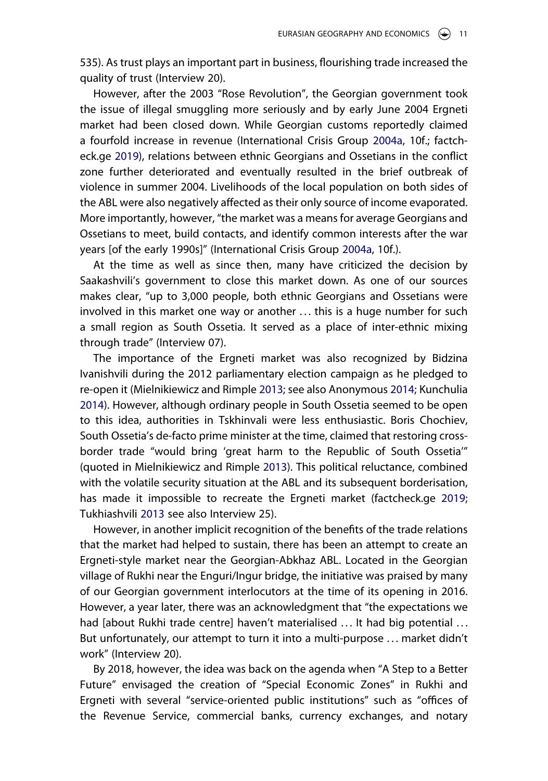535). As trust plays an important part in business, flourishing trade increased the quality of trust (Interview 20).

However, after the 2003 "Rose Revolution", the Georgian government took the issue of illegal smuggling more seriously and by early June 2004 Ergneti market had been closed down. While Georgian customs reportedly claimed a fourfold increase in revenue (International Crisis Group [2004a](#page-25-11), 10f.; factcheck.ge [2019\)](#page-24-12), relations between ethnic Georgians and Ossetians in the conflict zone further deteriorated and eventually resulted in the brief outbreak of violence in summer 2004. Livelihoods of the local population on both sides of the ABL were also negatively affected as their only source of income evaporated. More importantly, however, "the market was a means for average Georgians and Ossetians to meet, build contacts, and identify common interests after the war years [of the early 1990s]" (International Crisis Group [2004a,](#page-25-11) 10f.).

At the time as well as since then, many have criticized the decision by Saakashvili's government to close this market down. As one of our sources makes clear, "up to 3,000 people, both ethnic Georgians and Ossetians were involved in this market one way or another . . . this is a huge number for such a small region as South Ossetia. It served as a place of inter-ethnic mixing through trade" (Interview 07).

<span id="page-11-1"></span>The importance of the Ergneti market was also recognized by Bidzina Ivanishvili during the 2012 parliamentary election campaign as he pledged to re-open it (Mielnikiewicz and Rimple [2013;](#page-26-11) see also Anonymous [2014](#page-23-12); Kunchulia [2014\)](#page-25-13). However, although ordinary people in South Ossetia seemed to be open to this idea, authorities in Tskhinvali were less enthusiastic. Boris Chochiev, South Ossetia's de-facto prime minister at the time, claimed that restoring crossborder trade "would bring 'great harm to the Republic of South Ossetia'" (quoted in Mielnikiewicz and Rimple [2013\)](#page-26-11). This political reluctance, combined with the volatile security situation at the ABL and its subsequent borderisation, has made it impossible to recreate the Ergneti market (factcheck.ge [2019](#page-24-12); Tukhiashvili [2013](#page-27-15) see also Interview 25).

<span id="page-11-3"></span><span id="page-11-2"></span><span id="page-11-0"></span>However, in another implicit recognition of the benefits of the trade relations that the market had helped to sustain, there has been an attempt to create an Ergneti-style market near the Georgian-Abkhaz ABL. Located in the Georgian village of Rukhi near the Enguri/Ingur bridge, the initiative was praised by many of our Georgian government interlocutors at the time of its opening in 2016. However, a year later, there was an acknowledgment that "the expectations we had [about Rukhi trade centre] haven't materialised ... It had big potential ... But unfortunately, our attempt to turn it into a multi-purpose . . . market didn't work" (Interview 20).

By 2018, however, the idea was back on the agenda when "A Step to a Better Future" envisaged the creation of "Special Economic Zones" in Rukhi and Ergneti with several "service-oriented public institutions" such as "offices of the Revenue Service, commercial banks, currency exchanges, and notary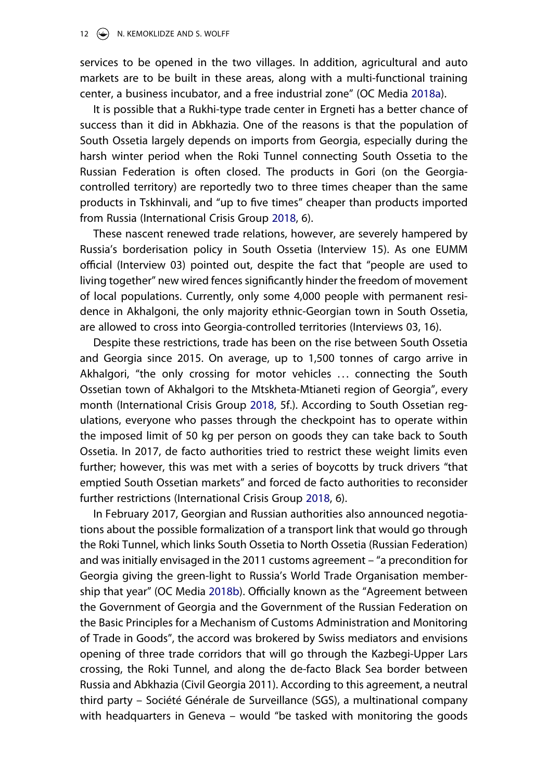#### 12 (a) N. KEMOKLIDZE AND S. WOLFF

services to be opened in the two villages. In addition, agricultural and auto markets are to be built in these areas, along with a multi-functional training center, a business incubator, and a free industrial zone" (OC Media [2018a](#page-26-12)).

<span id="page-12-0"></span>It is possible that a Rukhi-type trade center in Ergneti has a better chance of success than it did in Abkhazia. One of the reasons is that the population of South Ossetia largely depends on imports from Georgia, especially during the harsh winter period when the Roki Tunnel connecting South Ossetia to the Russian Federation is often closed. The products in Gori (on the Georgiacontrolled territory) are reportedly two to three times cheaper than the same products in Tskhinvali, and "up to five times" cheaper than products imported from Russia (International Crisis Group [2018](#page-25-4), 6).

These nascent renewed trade relations, however, are severely hampered by Russia's borderisation policy in South Ossetia (Interview 15). As one EUMM official (Interview 03) pointed out, despite the fact that "people are used to living together" new wired fences significantly hinder the freedom of movement of local populations. Currently, only some 4,000 people with permanent residence in Akhalgoni, the only majority ethnic-Georgian town in South Ossetia, are allowed to cross into Georgia-controlled territories (Interviews 03, 16).

Despite these restrictions, trade has been on the rise between South Ossetia and Georgia since 2015. On average, up to 1,500 tonnes of cargo arrive in Akhalgori, "the only crossing for motor vehicles . . . connecting the South Ossetian town of Akhalgori to the Mtskheta-Mtianeti region of Georgia", every month (International Crisis Group [2018,](#page-25-4) 5f.). According to South Ossetian regulations, everyone who passes through the checkpoint has to operate within the imposed limit of 50 kg per person on goods they can take back to South Ossetia. In 2017, de facto authorities tried to restrict these weight limits even further; however, this was met with a series of boycotts by truck drivers "that emptied South Ossetian markets" and forced de facto authorities to reconsider further restrictions (International Crisis Group [2018](#page-25-4), 6).

<span id="page-12-1"></span>In February 2017, Georgian and Russian authorities also announced negotiations about the possible formalization of a transport link that would go through the Roki Tunnel, which links South Ossetia to North Ossetia (Russian Federation) and was initially envisaged in the 2011 customs agreement – "a precondition for Georgia giving the green-light to Russia's World Trade Organisation membership that year" (OC Media [2018b\)](#page-26-13). Officially known as the "Agreement between the Government of Georgia and the Government of the Russian Federation on the Basic Principles for a Mechanism of Customs Administration and Monitoring of Trade in Goods", the accord was brokered by Swiss mediators and envisions opening of three trade corridors that will go through the Kazbegi-Upper Lars crossing, the Roki Tunnel, and along the de-facto Black Sea border between Russia and Abkhazia (Civil Georgia 2011). According to this agreement, a neutral third party – Société Générale de Surveillance (SGS), a multinational company with headquarters in Geneva – would "be tasked with monitoring the goods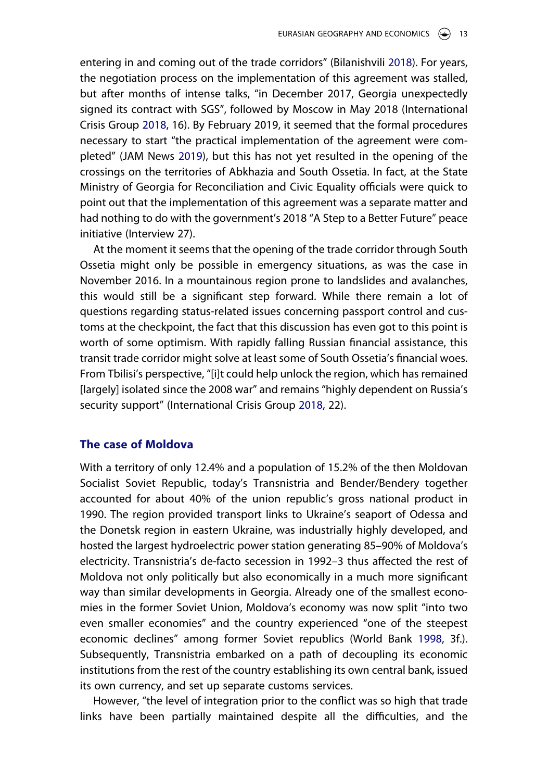<span id="page-13-1"></span><span id="page-13-0"></span>entering in and coming out of the trade corridors" (Bilanishvili [2018](#page-23-13)). For years, the negotiation process on the implementation of this agreement was stalled, but after months of intense talks, "in December 2017, Georgia unexpectedly signed its contract with SGS", followed by Moscow in May 2018 (International Crisis Group [2018,](#page-25-4) 16). By February 2019, it seemed that the formal procedures necessary to start "the practical implementation of the agreement were completed" (JAM News [2019](#page-26-14)), but this has not yet resulted in the opening of the crossings on the territories of Abkhazia and South Ossetia. In fact, at the State Ministry of Georgia for Reconciliation and Civic Equality officials were quick to point out that the implementation of this agreement was a separate matter and had nothing to do with the government's 2018 "A Step to a Better Future" peace initiative (Interview 27).

At the moment it seems that the opening of the trade corridor through South Ossetia might only be possible in emergency situations, as was the case in November 2016. In a mountainous region prone to landslides and avalanches, this would still be a significant step forward. While there remain a lot of questions regarding status-related issues concerning passport control and customs at the checkpoint, the fact that this discussion has even got to this point is worth of some optimism. With rapidly falling Russian financial assistance, this transit trade corridor might solve at least some of South Ossetia's financial woes. From Tbilisi's perspective, "[i]t could help unlock the region, which has remained [largely] isolated since the 2008 war" and remains "highly dependent on Russia's security support" (International Crisis Group [2018,](#page-25-4) 22).

# **The case of Moldova**

With a territory of only 12.4% and a population of 15.2% of the then Moldovan Socialist Soviet Republic, today's Transnistria and Bender/Bendery together accounted for about 40% of the union republic's gross national product in 1990. The region provided transport links to Ukraine's seaport of Odessa and the Donetsk region in eastern Ukraine, was industrially highly developed, and hosted the largest hydroelectric power station generating 85–90% of Moldova's electricity. Transnistria's de-facto secession in 1992–3 thus affected the rest of Moldova not only politically but also economically in a much more significant way than similar developments in Georgia. Already one of the smallest economies in the former Soviet Union, Moldova's economy was now split "into two even smaller economies" and the country experienced "one of the steepest economic declines" among former Soviet republics (World Bank [1998,](#page-27-16) 3f.). Subsequently, Transnistria embarked on a path of decoupling its economic institutions from the rest of the country establishing its own central bank, issued its own currency, and set up separate customs services.

<span id="page-13-2"></span>However, "the level of integration prior to the conflict was so high that trade links have been partially maintained despite all the difficulties, and the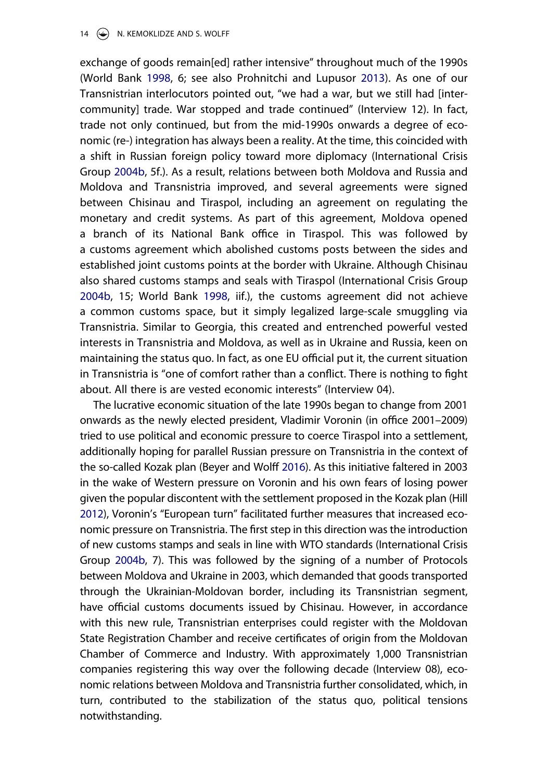<span id="page-14-2"></span>exchange of goods remain[ed] rather intensive" throughout much of the 1990s (World Bank [1998,](#page-27-16) 6; see also Prohnitchi and Lupusor [2013\)](#page-27-17). As one of our Transnistrian interlocutors pointed out, "we had a war, but we still had [intercommunity] trade. War stopped and trade continued" (Interview 12). In fact, trade not only continued, but from the mid-1990s onwards a degree of economic (re-) integration has always been a reality. At the time, this coincided with a shift in Russian foreign policy toward more diplomacy (International Crisis Group [2004b](#page-25-14), 5f.). As a result, relations between both Moldova and Russia and Moldova and Transnistria improved, and several agreements were signed between Chisinau and Tiraspol, including an agreement on regulating the monetary and credit systems. As part of this agreement, Moldova opened a branch of its National Bank office in Tiraspol. This was followed by a customs agreement which abolished customs posts between the sides and established joint customs points at the border with Ukraine. Although Chisinau also shared customs stamps and seals with Tiraspol (International Crisis Group [2004b](#page-25-14), 15; World Bank [1998,](#page-27-16) iif.), the customs agreement did not achieve a common customs space, but it simply legalized large-scale smuggling via Transnistria. Similar to Georgia, this created and entrenched powerful vested interests in Transnistria and Moldova, as well as in Ukraine and Russia, keen on maintaining the status quo. In fact, as one EU official put it, the current situation in Transnistria is "one of comfort rather than a conflict. There is nothing to fight about. All there is are vested economic interests" (Interview 04).

<span id="page-14-1"></span><span id="page-14-0"></span>The lucrative economic situation of the late 1990s began to change from 2001 onwards as the newly elected president, Vladimir Voronin (in office 2001–2009) tried to use political and economic pressure to coerce Tiraspol into a settlement, additionally hoping for parallel Russian pressure on Transnistria in the context of the so-called Kozak plan (Beyer and Wolff [2016\)](#page-23-8). As this initiative faltered in 2003 in the wake of Western pressure on Voronin and his own fears of losing power given the popular discontent with the settlement proposed in the Kozak plan (Hill [2012](#page-25-15)), Voronin's "European turn" facilitated further measures that increased economic pressure on Transnistria. The first step in this direction was the introduction of new customs stamps and seals in line with WTO standards (International Crisis Group [2004b,](#page-25-14) 7). This was followed by the signing of a number of Protocols between Moldova and Ukraine in 2003, which demanded that goods transported through the Ukrainian-Moldovan border, including its Transnistrian segment, have official customs documents issued by Chisinau. However, in accordance with this new rule, Transnistrian enterprises could register with the Moldovan State Registration Chamber and receive certificates of origin from the Moldovan Chamber of Commerce and Industry. With approximately 1,000 Transnistrian companies registering this way over the following decade (Interview 08), economic relations between Moldova and Transnistria further consolidated, which, in turn, contributed to the stabilization of the status quo, political tensions notwithstanding.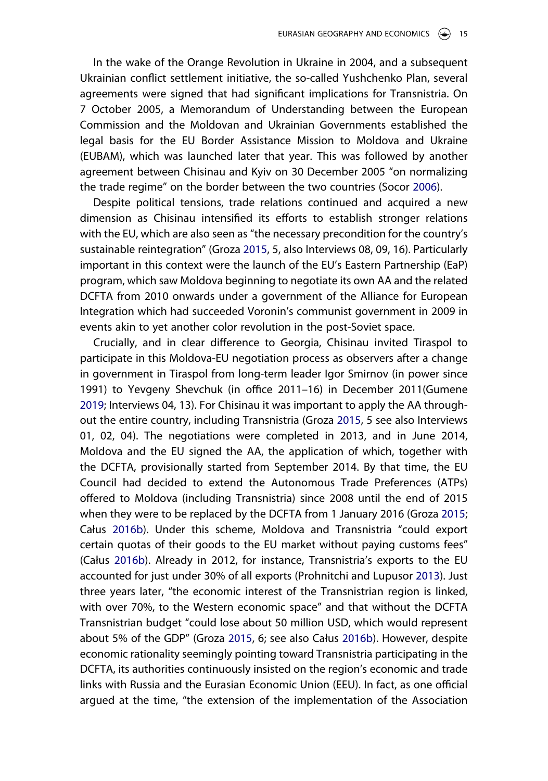In the wake of the Orange Revolution in Ukraine in 2004, and a subsequent Ukrainian conflict settlement initiative, the so-called Yushchenko Plan, several agreements were signed that had significant implications for Transnistria. On 7 October 2005, a Memorandum of Understanding between the European Commission and the Moldovan and Ukrainian Governments established the legal basis for the EU Border Assistance Mission to Moldova and Ukraine (EUBAM), which was launched later that year. This was followed by another agreement between Chisinau and Kyiv on 30 December 2005 "on normalizing the trade regime" on the border between the two countries (Socor [2006](#page-27-18)).

<span id="page-15-2"></span>Despite political tensions, trade relations continued and acquired a new dimension as Chisinau intensified its efforts to establish stronger relations with the EU, which are also seen as "the necessary precondition for the country's sustainable reintegration" (Groza [2015,](#page-24-13) 5, also Interviews 08, 09, 16). Particularly important in this context were the launch of the EU's Eastern Partnership (EaP) program, which saw Moldova beginning to negotiate its own AA and the related DCFTA from 2010 onwards under a government of the Alliance for European Integration which had succeeded Voronin's communist government in 2009 in events akin to yet another color revolution in the post-Soviet space.

<span id="page-15-1"></span><span id="page-15-0"></span>Crucially, and in clear difference to Georgia, Chisinau invited Tiraspol to participate in this Moldova-EU negotiation process as observers after a change in government in Tiraspol from long-term leader Igor Smirnov (in power since 1991) to Yevgeny Shevchuk (in office 2011–16) in December 2011(Gumene [2019;](#page-24-14) Interviews 04, 13). For Chisinau it was important to apply the AA throughout the entire country, including Transnistria (Groza [2015](#page-24-13), 5 see also Interviews 01, 02, 04). The negotiations were completed in 2013, and in June 2014, Moldova and the EU signed the AA, the application of which, together with the DCFTA, provisionally started from September 2014. By that time, the EU Council had decided to extend the Autonomous Trade Preferences (ATPs) offered to Moldova (including Transnistria) since 2008 until the end of 2015 when they were to be replaced by the DCFTA from 1 January 2016 (Groza [2015](#page-24-13); Całus [2016b\)](#page-23-5). Under this scheme, Moldova and Transnistria "could export certain quotas of their goods to the EU market without paying customs fees" (Całus [2016b](#page-23-5)). Already in 2012, for instance, Transnistria's exports to the EU accounted for just under 30% of all exports (Prohnitchi and Lupusor [2013](#page-27-17)). Just three years later, "the economic interest of the Transnistrian region is linked, with over 70%, to the Western economic space" and that without the DCFTA Transnistrian budget "could lose about 50 million USD, which would represent about 5% of the GDP" (Groza [2015](#page-24-13), 6; see also Całus [2016b\)](#page-23-5). However, despite economic rationality seemingly pointing toward Transnistria participating in the DCFTA, its authorities continuously insisted on the region's economic and trade links with Russia and the Eurasian Economic Union (EEU). In fact, as one official argued at the time, "the extension of the implementation of the Association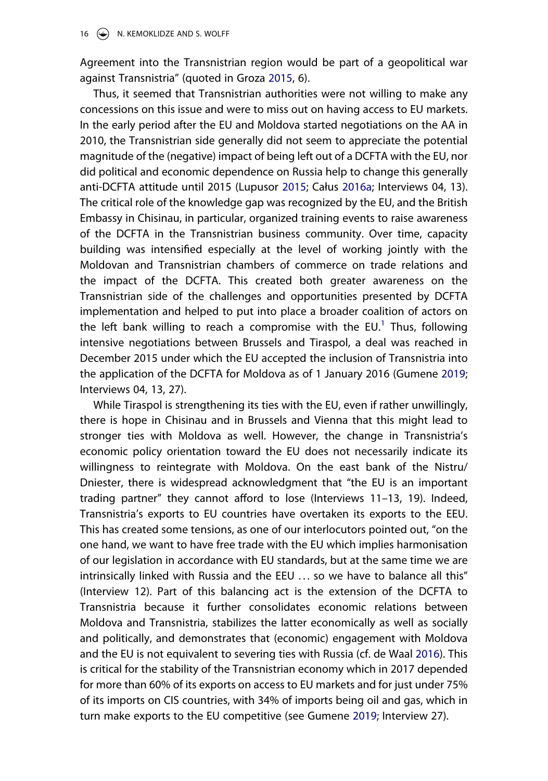Agreement into the Transnistrian region would be part of a geopolitical war against Transnistria" (quoted in Groza [2015](#page-24-13), 6).

<span id="page-16-0"></span>Thus, it seemed that Transnistrian authorities were not willing to make any concessions on this issue and were to miss out on having access to EU markets. In the early period after the EU and Moldova started negotiations on the AA in 2010, the Transnistrian side generally did not seem to appreciate the potential magnitude of the (negative) impact of being left out of a DCFTA with the EU, nor did political and economic dependence on Russia help to change this generally anti-DCFTA attitude until 2015 (Lupusor [2015;](#page-26-15) Całus [2016a;](#page-23-14) Interviews 04, 13). The critical role of the knowledge gap was recognized by the EU, and the British Embassy in Chisinau, in particular, organized training events to raise awareness of the DCFTA in the Transnistrian business community. Over time, capacity building was intensified especially at the level of working jointly with the Moldovan and Transnistrian chambers of commerce on trade relations and the impact of the DCFTA. This created both greater awareness on the Transnistrian side of the challenges and opportunities presented by DCFTA implementation and helped to put into place a broader coalition of actors on the left bank willing to reach a compromise with the EU.<sup>[1](#page-22-0)</sup> Thus, following intensive negotiations between Brussels and Tiraspol, a deal was reached in December 2015 under which the EU accepted the inclusion of Transnistria into the application of the DCFTA for Moldova as of 1 January 2016 (Gumene [2019](#page-24-14); Interviews 04, 13, 27).

<span id="page-16-1"></span>While Tiraspol is strengthening its ties with the EU, even if rather unwillingly, there is hope in Chisinau and in Brussels and Vienna that this might lead to stronger ties with Moldova as well. However, the change in Transnistria's economic policy orientation toward the EU does not necessarily indicate its willingness to reintegrate with Moldova. On the east bank of the Nistru/ Dniester, there is widespread acknowledgment that "the EU is an important trading partner" they cannot afford to lose (Interviews 11–13, 19). Indeed, Transnistria's exports to EU countries have overtaken its exports to the EEU. This has created some tensions, as one of our interlocutors pointed out, "on the one hand, we want to have free trade with the EU which implies harmonisation of our legislation in accordance with EU standards, but at the same time we are intrinsically linked with Russia and the EEU ... so we have to balance all this" (Interview 12). Part of this balancing act is the extension of the DCFTA to Transnistria because it further consolidates economic relations between Moldova and Transnistria, stabilizes the latter economically as well as socially and politically, and demonstrates that (economic) engagement with Moldova and the EU is not equivalent to severing ties with Russia (cf. de Waal [2016\)](#page-24-15). This is critical for the stability of the Transnistrian economy which in 2017 depended for more than 60% of its exports on access to EU markets and for just under 75% of its imports on CIS countries, with 34% of imports being oil and gas, which in turn make exports to the EU competitive (see Gumene [2019](#page-24-14); Interview 27).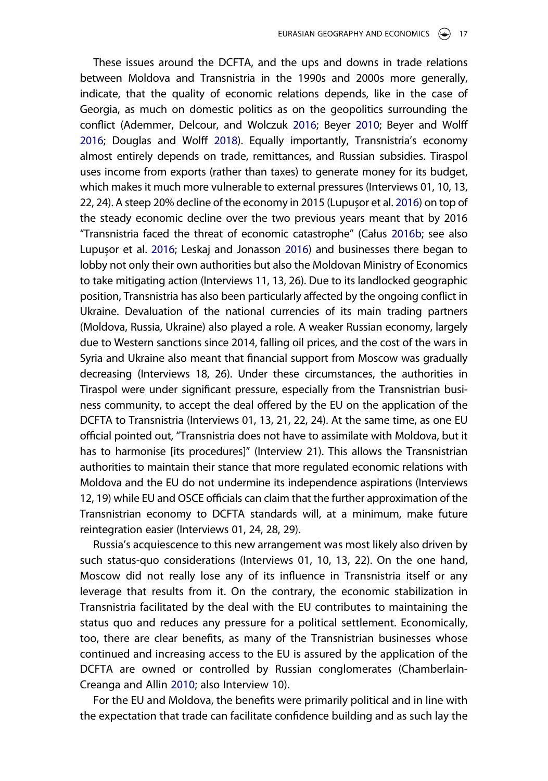<span id="page-17-1"></span><span id="page-17-0"></span>These issues around the DCFTA, and the ups and downs in trade relations between Moldova and Transnistria in the 1990s and 2000s more generally, indicate, that the quality of economic relations depends, like in the case of Georgia, as much on domestic politics as on the geopolitics surrounding the conflict (Ademmer, Delcour, and Wolczuk [2016;](#page-23-15) Beyer [2010;](#page-23-7) Beyer and Wolff [2016](#page-23-8); Douglas and Wolff [2018\)](#page-24-6). Equally importantly, Transnistria's economy almost entirely depends on trade, remittances, and Russian subsidies. Tiraspol uses income from exports (rather than taxes) to generate money for its budget, which makes it much more vulnerable to external pressures (Interviews 01, 10, 13, 22, 24). A steep 20% decline of the economy in 2015 (Lupușor et al. [2016](#page-26-16)) on top of the steady economic decline over the two previous years meant that by 2016 "Transnistria faced the threat of economic catastrophe" (Całus [2016b;](#page-23-5) see also Lupușor et al. [2016](#page-26-16); Leskaj and Jonasson [2016\)](#page-25-16) and businesses there began to lobby not only their own authorities but also the Moldovan Ministry of Economics to take mitigating action (Interviews 11, 13, 26). Due to its landlocked geographic position, Transnistria has also been particularly affected by the ongoing conflict in Ukraine. Devaluation of the national currencies of its main trading partners (Moldova, Russia, Ukraine) also played a role. A weaker Russian economy, largely due to Western sanctions since 2014, falling oil prices, and the cost of the wars in Syria and Ukraine also meant that financial support from Moscow was gradually decreasing (Interviews 18, 26). Under these circumstances, the authorities in Tiraspol were under significant pressure, especially from the Transnistrian business community, to accept the deal offered by the EU on the application of the DCFTA to Transnistria (Interviews 01, 13, 21, 22, 24). At the same time, as one EU official pointed out, "Transnistria does not have to assimilate with Moldova, but it has to harmonise [its procedures]" (Interview 21). This allows the Transnistrian authorities to maintain their stance that more regulated economic relations with Moldova and the EU do not undermine its independence aspirations (Interviews 12, 19) while EU and OSCE officials can claim that the further approximation of the Transnistrian economy to DCFTA standards will, at a minimum, make future reintegration easier (Interviews 01, 24, 28, 29).

Russia's acquiescence to this new arrangement was most likely also driven by such status-quo considerations (Interviews 01, 10, 13, 22). On the one hand, Moscow did not really lose any of its influence in Transnistria itself or any leverage that results from it. On the contrary, the economic stabilization in Transnistria facilitated by the deal with the EU contributes to maintaining the status quo and reduces any pressure for a political settlement. Economically, too, there are clear benefits, as many of the Transnistrian businesses whose continued and increasing access to the EU is assured by the application of the DCFTA are owned or controlled by Russian conglomerates (Chamberlain-Creanga and Allin [2010](#page-23-3); also Interview 10).

For the EU and Moldova, the benefits were primarily political and in line with the expectation that trade can facilitate confidence building and as such lay the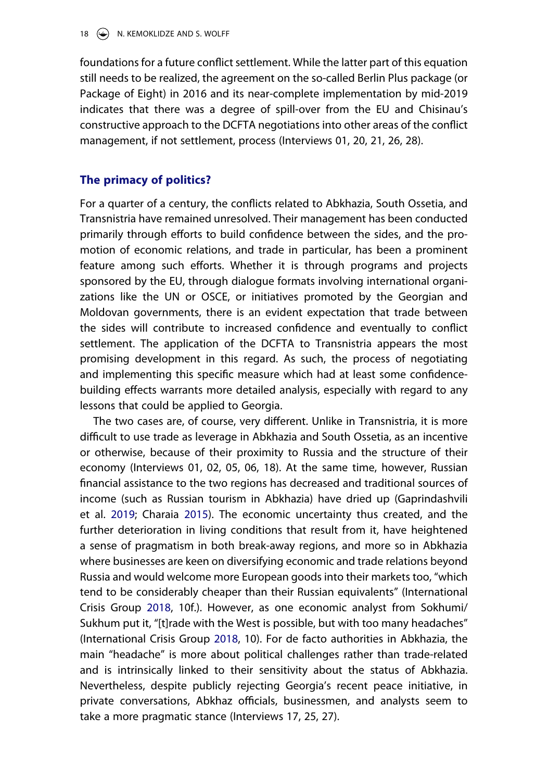foundations for a future conflict settlement. While the latter part of this equation still needs to be realized, the agreement on the so-called Berlin Plus package (or Package of Eight) in 2016 and its near-complete implementation by mid-2019 indicates that there was a degree of spill-over from the EU and Chisinau's constructive approach to the DCFTA negotiations into other areas of the conflict management, if not settlement, process (Interviews 01, 20, 21, 26, 28).

# **The primacy of politics?**

For a quarter of a century, the conflicts related to Abkhazia, South Ossetia, and Transnistria have remained unresolved. Their management has been conducted primarily through efforts to build confidence between the sides, and the promotion of economic relations, and trade in particular, has been a prominent feature among such efforts. Whether it is through programs and projects sponsored by the EU, through dialogue formats involving international organizations like the UN or OSCE, or initiatives promoted by the Georgian and Moldovan governments, there is an evident expectation that trade between the sides will contribute to increased confidence and eventually to conflict settlement. The application of the DCFTA to Transnistria appears the most promising development in this regard. As such, the process of negotiating and implementing this specific measure which had at least some confidencebuilding effects warrants more detailed analysis, especially with regard to any lessons that could be applied to Georgia.

<span id="page-18-0"></span>The two cases are, of course, very different. Unlike in Transnistria, it is more difficult to use trade as leverage in Abkhazia and South Ossetia, as an incentive or otherwise, because of their proximity to Russia and the structure of their economy (Interviews 01, 02, 05, 06, 18). At the same time, however, Russian financial assistance to the two regions has decreased and traditional sources of income (such as Russian tourism in Abkhazia) have dried up (Gaprindashvili et al. [2019](#page-24-16); Charaia [2015](#page-23-10)). The economic uncertainty thus created, and the further deterioration in living conditions that result from it, have heightened a sense of pragmatism in both break-away regions, and more so in Abkhazia where businesses are keen on diversifying economic and trade relations beyond Russia and would welcome more European goods into their markets too, "which tend to be considerably cheaper than their Russian equivalents" (International Crisis Group [2018,](#page-25-4) 10f.). However, as one economic analyst from Sokhumi/ Sukhum put it, "[t]rade with the West is possible, but with too many headaches" (International Crisis Group [2018](#page-25-4), 10). For de facto authorities in Abkhazia, the main "headache" is more about political challenges rather than trade-related and is intrinsically linked to their sensitivity about the status of Abkhazia. Nevertheless, despite publicly rejecting Georgia's recent peace initiative, in private conversations, Abkhaz officials, businessmen, and analysts seem to take a more pragmatic stance (Interviews 17, 25, 27).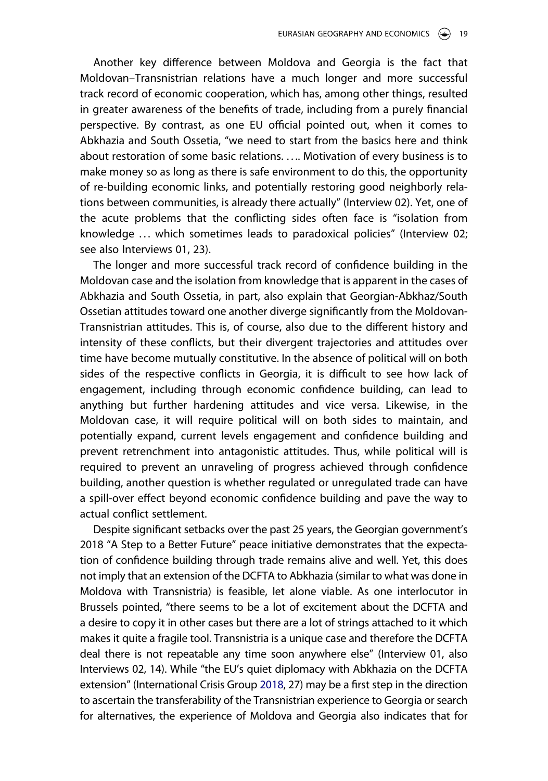Another key difference between Moldova and Georgia is the fact that Moldovan–Transnistrian relations have a much longer and more successful track record of economic cooperation, which has, among other things, resulted in greater awareness of the benefits of trade, including from a purely financial perspective. By contrast, as one EU official pointed out, when it comes to Abkhazia and South Ossetia, "we need to start from the basics here and think about restoration of some basic relations. . . .. Motivation of every business is to make money so as long as there is safe environment to do this, the opportunity of re-building economic links, and potentially restoring good neighborly relations between communities, is already there actually" (Interview 02). Yet, one of the acute problems that the conflicting sides often face is "isolation from knowledge . . . which sometimes leads to paradoxical policies" (Interview 02; see also Interviews 01, 23).

The longer and more successful track record of confidence building in the Moldovan case and the isolation from knowledge that is apparent in the cases of Abkhazia and South Ossetia, in part, also explain that Georgian-Abkhaz/South Ossetian attitudes toward one another diverge significantly from the Moldovan-Transnistrian attitudes. This is, of course, also due to the different history and intensity of these conflicts, but their divergent trajectories and attitudes over time have become mutually constitutive. In the absence of political will on both sides of the respective conflicts in Georgia, it is difficult to see how lack of engagement, including through economic confidence building, can lead to anything but further hardening attitudes and vice versa. Likewise, in the Moldovan case, it will require political will on both sides to maintain, and potentially expand, current levels engagement and confidence building and prevent retrenchment into antagonistic attitudes. Thus, while political will is required to prevent an unraveling of progress achieved through confidence building, another question is whether regulated or unregulated trade can have a spill-over effect beyond economic confidence building and pave the way to actual conflict settlement.

Despite significant setbacks over the past 25 years, the Georgian government's 2018 "A Step to a Better Future" peace initiative demonstrates that the expectation of confidence building through trade remains alive and well. Yet, this does not imply that an extension of the DCFTA to Abkhazia (similar to what was done in Moldova with Transnistria) is feasible, let alone viable. As one interlocutor in Brussels pointed, "there seems to be a lot of excitement about the DCFTA and a desire to copy it in other cases but there are a lot of strings attached to it which makes it quite a fragile tool. Transnistria is a unique case and therefore the DCFTA deal there is not repeatable any time soon anywhere else" (Interview 01, also Interviews 02, 14). While "the EU's quiet diplomacy with Abkhazia on the DCFTA extension" (International Crisis Group [2018](#page-25-4), 27) may be a first step in the direction to ascertain the transferability of the Transnistrian experience to Georgia orsearch for alternatives, the experience of Moldova and Georgia also indicates that for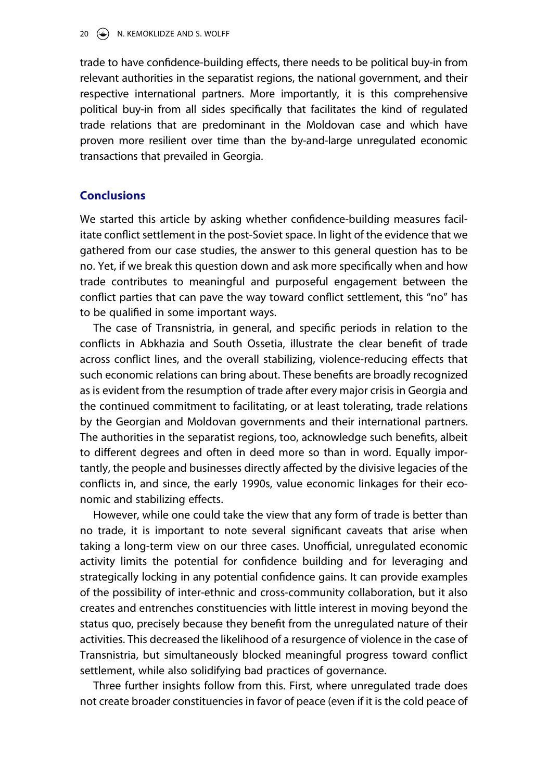trade to have confidence-building effects, there needs to be political buy-in from relevant authorities in the separatist regions, the national government, and their respective international partners. More importantly, it is this comprehensive political buy-in from all sides specifically that facilitates the kind of regulated trade relations that are predominant in the Moldovan case and which have proven more resilient over time than the by-and-large unregulated economic transactions that prevailed in Georgia.

# **Conclusions**

We started this article by asking whether confidence-building measures facilitate conflict settlement in the post-Soviet space. In light of the evidence that we gathered from our case studies, the answer to this general question has to be no. Yet, if we break this question down and ask more specifically when and how trade contributes to meaningful and purposeful engagement between the conflict parties that can pave the way toward conflict settlement, this "no" has to be qualified in some important ways.

The case of Transnistria, in general, and specific periods in relation to the conflicts in Abkhazia and South Ossetia, illustrate the clear benefit of trade across conflict lines, and the overall stabilizing, violence-reducing effects that such economic relations can bring about. These benefits are broadly recognized as is evident from the resumption of trade after every major crisis in Georgia and the continued commitment to facilitating, or at least tolerating, trade relations by the Georgian and Moldovan governments and their international partners. The authorities in the separatist regions, too, acknowledge such benefits, albeit to different degrees and often in deed more so than in word. Equally importantly, the people and businesses directly affected by the divisive legacies of the conflicts in, and since, the early 1990s, value economic linkages for their economic and stabilizing effects.

However, while one could take the view that any form of trade is better than no trade, it is important to note several significant caveats that arise when taking a long-term view on our three cases. Unofficial, unregulated economic activity limits the potential for confidence building and for leveraging and strategically locking in any potential confidence gains. It can provide examples of the possibility of inter-ethnic and cross-community collaboration, but it also creates and entrenches constituencies with little interest in moving beyond the status quo, precisely because they benefit from the unregulated nature of their activities. This decreased the likelihood of a resurgence of violence in the case of Transnistria, but simultaneously blocked meaningful progress toward conflict settlement, while also solidifying bad practices of governance.

Three further insights follow from this. First, where unregulated trade does not create broader constituencies in favor of peace (even if it is the cold peace of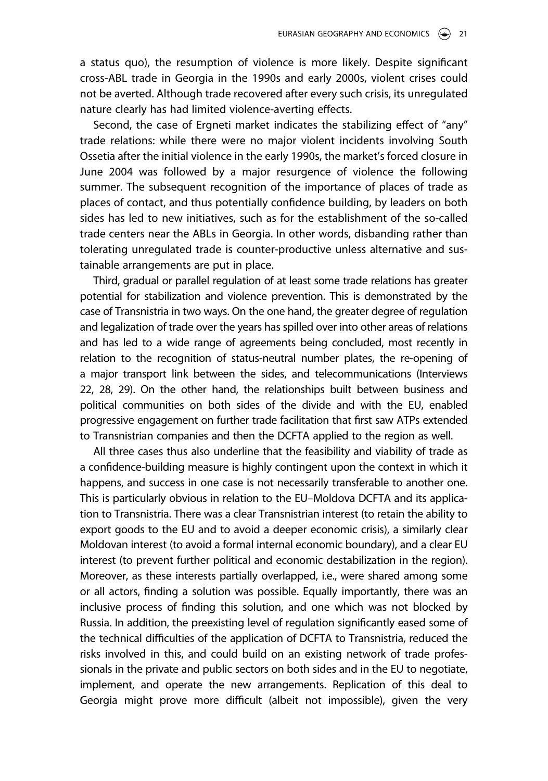a status quo), the resumption of violence is more likely. Despite significant cross-ABL trade in Georgia in the 1990s and early 2000s, violent crises could not be averted. Although trade recovered after every such crisis, its unregulated nature clearly has had limited violence-averting effects.

Second, the case of Ergneti market indicates the stabilizing effect of "any" trade relations: while there were no major violent incidents involving South Ossetia after the initial violence in the early 1990s, the market's forced closure in June 2004 was followed by a major resurgence of violence the following summer. The subsequent recognition of the importance of places of trade as places of contact, and thus potentially confidence building, by leaders on both sides has led to new initiatives, such as for the establishment of the so-called trade centers near the ABLs in Georgia. In other words, disbanding rather than tolerating unregulated trade is counter-productive unless alternative and sustainable arrangements are put in place.

Third, gradual or parallel regulation of at least some trade relations has greater potential for stabilization and violence prevention. This is demonstrated by the case of Transnistria in two ways. On the one hand, the greater degree of regulation and legalization of trade over the years has spilled over into other areas of relations and has led to a wide range of agreements being concluded, most recently in relation to the recognition of status-neutral number plates, the re-opening of a major transport link between the sides, and telecommunications (Interviews 22, 28, 29). On the other hand, the relationships built between business and political communities on both sides of the divide and with the EU, enabled progressive engagement on further trade facilitation that first saw ATPs extended to Transnistrian companies and then the DCFTA applied to the region as well.

All three cases thus also underline that the feasibility and viability of trade as a confidence-building measure is highly contingent upon the context in which it happens, and success in one case is not necessarily transferable to another one. This is particularly obvious in relation to the EU–Moldova DCFTA and its application to Transnistria. There was a clear Transnistrian interest (to retain the ability to export goods to the EU and to avoid a deeper economic crisis), a similarly clear Moldovan interest (to avoid a formal internal economic boundary), and a clear EU interest (to prevent further political and economic destabilization in the region). Moreover, as these interests partially overlapped, i.e., were shared among some or all actors, finding a solution was possible. Equally importantly, there was an inclusive process of finding this solution, and one which was not blocked by Russia. In addition, the preexisting level of regulation significantly eased some of the technical difficulties of the application of DCFTA to Transnistria, reduced the risks involved in this, and could build on an existing network of trade professionals in the private and public sectors on both sides and in the EU to negotiate, implement, and operate the new arrangements. Replication of this deal to Georgia might prove more difficult (albeit not impossible), given the very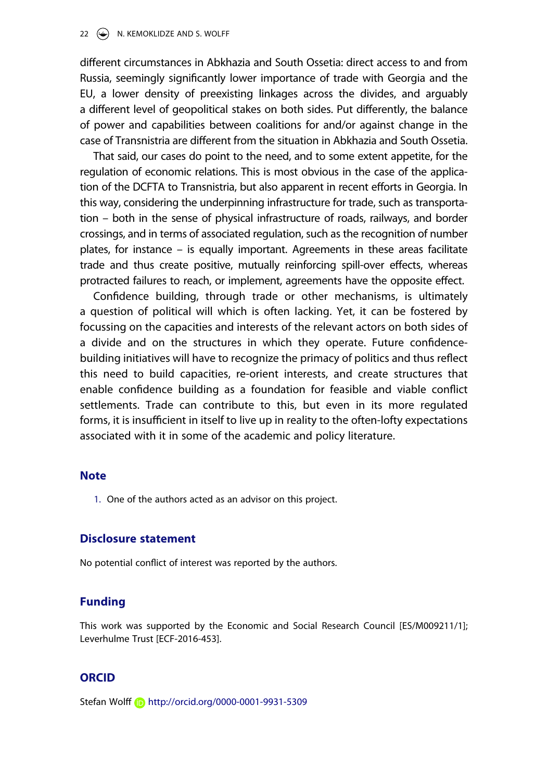#### 22  $\left(\rightarrow\right)$  N. KEMOKLIDZE AND S. WOLFF

different circumstances in Abkhazia and South Ossetia: direct access to and from Russia, seemingly significantly lower importance of trade with Georgia and the EU, a lower density of preexisting linkages across the divides, and arguably a different level of geopolitical stakes on both sides. Put differently, the balance of power and capabilities between coalitions for and/or against change in the case of Transnistria are different from the situation in Abkhazia and South Ossetia.

That said, our cases do point to the need, and to some extent appetite, for the regulation of economic relations. This is most obvious in the case of the application of the DCFTA to Transnistria, but also apparent in recent efforts in Georgia. In this way, considering the underpinning infrastructure for trade, such as transportation – both in the sense of physical infrastructure of roads, railways, and border crossings, and in terms of associated regulation, such as the recognition of number plates, for instance – is equally important. Agreements in these areas facilitate trade and thus create positive, mutually reinforcing spill-over effects, whereas protracted failures to reach, or implement, agreements have the opposite effect.

Confidence building, through trade or other mechanisms, is ultimately a question of political will which is often lacking. Yet, it can be fostered by focussing on the capacities and interests of the relevant actors on both sides of a divide and on the structures in which they operate. Future confidencebuilding initiatives will have to recognize the primacy of politics and thus reflect this need to build capacities, re-orient interests, and create structures that enable confidence building as a foundation for feasible and viable conflict settlements. Trade can contribute to this, but even in its more regulated forms, it is insufficient in itself to live up in reality to the often-lofty expectations associated with it in some of the academic and policy literature.

#### **Note**

<span id="page-22-0"></span>1. One of the authors acted as an advisor on this project.

### **Disclosure statement**

No potential conflict of interest was reported by the authors.

# **Funding**

This work was supported by the Economic and Social Research Council [ES/M009211/1]; Leverhulme Trust [ECF-2016-453].

#### **ORCID**

Stefan Wolff (D http://orcid.org/0000-0001-9931-5309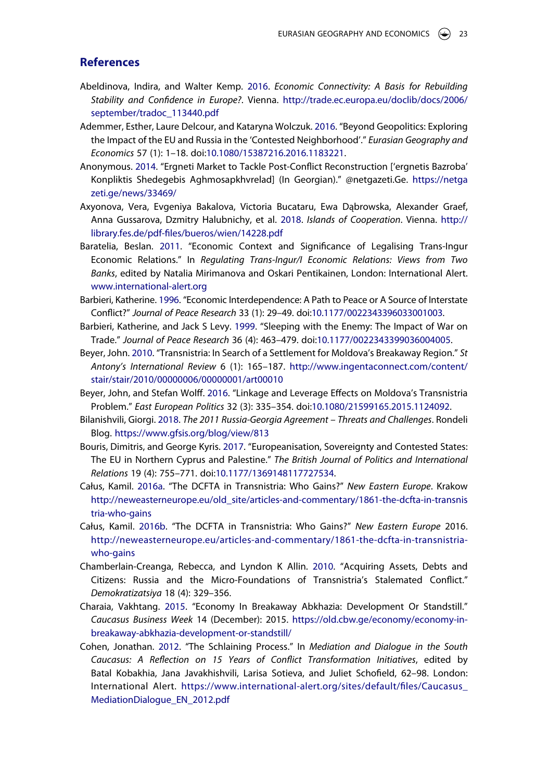# **References**

- <span id="page-23-0"></span>Abeldinova, Indira, and Walter Kemp. [2016](#page-3-0). *Economic Connectivity: A Basis for Rebuilding Stability and Confidence in Europe?*. Vienna. http://trade.ec.europa.eu/doclib/docs/2006/ september/tradoc 113440.pdf
- <span id="page-23-15"></span>Ademmer, Esther, Laure Delcour, and Kataryna Wolczuk. [2016.](#page-17-0) "Beyond Geopolitics: Exploring the Impact of the EU and Russia in the 'Contested Neighborhood'." *Eurasian Geography and Economics* 57 (1): 1–18. doi:10.1080/15387216.2016.1183221.
- <span id="page-23-12"></span>Anonymous. [2014](#page-10-0). "Ergneti Market to Tackle Post-Conflict Reconstruction ['ergnetis Bazroba' Konpliktis Shedegebis Aghmosapkhvrelad] (In Georgian)." @netgazeti.Ge. https://netga zeti.ge/news/33469/
- <span id="page-23-4"></span>Axyonova, Vera, Evgeniya Bakalova, Victoria Bucataru, Ewa Dąbrowska, Alexander Graef, Anna Gussarova, Dzmitry Halubnichy, et al. [2018](#page-5-0). *Islands of Cooperation*. Vienna. http:// library.fes.de/pdf-files/bueros/wien/14228.pdf
- <span id="page-23-9"></span>Baratelia, Beslan. [2011](#page-7-0). "Economic Context and Significance of Legalising Trans-Ingur Economic Relations." In *Regulating Trans-Ingur/I Economic Relations: Views from Two Banks*, edited by Natalia Mirimanova and Oskari Pentikainen, London: International Alert. www.international-alert.org
- <span id="page-23-1"></span>Barbieri, Katherine. [1996](#page-4-0). "Economic Interdependence: A Path to Peace or A Source of Interstate Conflict?" *Journal of Peace Research* 33 (1): 29–49. doi:10.1177/0022343396033001003.
- <span id="page-23-2"></span>Barbieri, Katherine, and Jack S Levy. [1999.](#page-4-1) "Sleeping with the Enemy: The Impact of War on Trade." *Journal of Peace Research* 36 (4): 463–479. doi:10.1177/0022343399036004005.
- <span id="page-23-7"></span>Beyer, John. [2010](#page-5-1). "Transnistria: In Search of a Settlement for Moldova's Breakaway Region." *St Antony's International Review* 6 (1): 165–187. http://www.ingentaconnect.com/content/ stair/stair/2010/00000006/00000001/art00010
- <span id="page-23-8"></span>Beyer, John, and Stefan Wolff. [2016](#page-5-1). "Linkage and Leverage Effects on Moldova's Transnistria Problem." *East European Politics* 32 (3): 335–354. doi:10.1080/21599165.2015.1124092.
- <span id="page-23-13"></span>Bilanishvili, Giorgi. [2018.](#page-13-0) *The 2011 Russia-Georgia Agreement – Threats and Challenges*. Rondeli Blog. https://www.gfsis.org/blog/view/813
- <span id="page-23-6"></span>Bouris, Dimitris, and George Kyris. [2017](#page-5-2). "Europeanisation, Sovereignty and Contested States: The EU in Northern Cyprus and Palestine." *The British Journal of Politics and International Relations* 19 (4): 755–771. doi:10.1177/1369148117727534.
- <span id="page-23-14"></span>Całus, Kamil. [2016a.](#page-16-0) "The DCFTA in Transnistria: Who Gains?" *New Eastern Europe*. Krakow http://neweasterneurope.eu/old\_site/articles-and-commentary/1861-the-dcfta-in-transnis tria-who-gains
- <span id="page-23-5"></span>Całus, Kamil. [2016b](#page-5-0). "The DCFTA in Transnistria: Who Gains?" *New Eastern Europe* 2016. http://neweasterneurope.eu/articles-and-commentary/1861-the-dcfta-in-transnistriawho-gains
- <span id="page-23-3"></span>Chamberlain-Creanga, Rebecca, and Lyndon K Allin. [2010](#page-5-3). "Acquiring Assets, Debts and Citizens: Russia and the Micro-Foundations of Transnistria's Stalemated Conflict." *Demokratizatsiya* 18 (4): 329–356.
- <span id="page-23-10"></span>Charaia, Vakhtang. [2015.](#page-7-1) "Economy In Breakaway Abkhazia: Development Or Standstill." *Caucasus Business Week* 14 (December): 2015. https://old.cbw.ge/economy/economy-inbreakaway-abkhazia-development-or-standstill/
- <span id="page-23-11"></span>Cohen, Jonathan. [2012](#page-9-0). "The Schlaining Process." In *Mediation and Dialogue in the South Caucasus: A Reflection on 15 Years of Conflict Transformation Initiatives*, edited by Batal Kobakhia, Jana Javakhishvili, Larisa Sotieva, and Juliet Schofield, 62–98. London: International Alert. https://www.international-alert.org/sites/default/files/Caucasus\_ MediationDialogue\_EN\_2012.pdf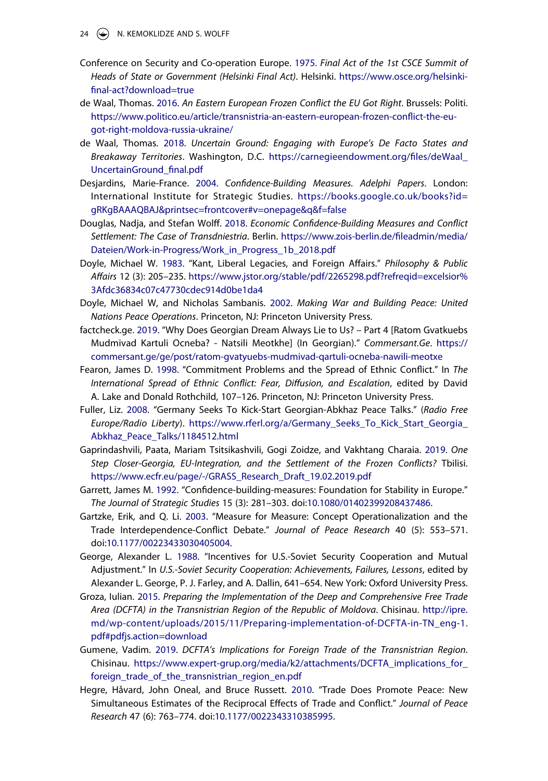24  $\left(\rightarrow\right)$  N. KEMOKLIDZE AND S. WOLFF

- <span id="page-24-0"></span>Conference on Security and Co-operation Europe. [1975.](#page-2-0) *Final Act of the 1st CSCE Summit of Heads of State or Government (Helsinki Final Act)*. Helsinki. https://www.osce.org/helsinkifinal-act?download=true
- <span id="page-24-15"></span>de Waal, Thomas. [2016.](#page-16-1) *An Eastern European Frozen Conflict the EU Got Right*. Brussels: Politi. https://www.politico.eu/article/transnistria-an-eastern-european-frozen-conflict-the-eugot-right-moldova-russia-ukraine/
- <span id="page-24-10"></span>de Waal, Thomas. [2018.](#page-5-4) *Uncertain Ground: Engaging with Europe's De Facto States and Breakaway Territories*. Washington, D.C. https://carnegieendowment.org/files/deWaal\_ UncertainGround\_final.pdf
- <span id="page-24-5"></span>Desjardins, Marie-France. [2004.](#page-3-1) *Confidence-Building Measures. Adelphi Papers*. London: International Institute for Strategic Studies. https://books.google.co.uk/books?id= gRKgBAAAQBAJ&printsec=frontcover#v=onepage&q&f=false
- <span id="page-24-6"></span>Douglas, Nadja, and Stefan Wolff. [2018.](#page-3-2) *Economic Confidence-Building Measures and Conflict Settlement: The Case of Transdniestria*. Berlin. https://www.zois-berlin.de/fileadmin/media/ Dateien/Work-in-Progress/Work\_in\_Progress\_1b\_2018.pdf
- <span id="page-24-7"></span>Doyle, Michael W. [1983](#page-4-2). "Kant, Liberal Legacies, and Foreign Affairs." *Philosophy & Public Affairs* 12 (3): 205–235. https://www.jstor.org/stable/pdf/2265298.pdf?refreqid=excelsior% 3Afdc36834c07c47730cdec914d0be1da4
- <span id="page-24-4"></span>Doyle, Michael W, and Nicholas Sambanis. [2002.](#page-3-3) *Making War and Building Peace: United Nations Peace Operations*. Princeton, NJ: Princeton University Press.
- <span id="page-24-12"></span>factcheck.ge. [2019.](#page-11-0) "Why Does Georgian Dream Always Lie to Us? – Part 4 [Ratom Gvatkuebs Mudmivad Kartuli Ocneba? - Natsili Meotkhe] (In Georgian)." *Commersant.Ge*. https:// commersant.ge/ge/post/ratom-gvatyuebs-mudmivad-qartuli-ocneba-nawili-meotxe
- <span id="page-24-3"></span>Fearon, James D. [1998](#page-3-4). "Commitment Problems and the Spread of Ethnic Conflict." In *The International Spread of Ethnic Conflict: Fear, Diffusion, and Escalation*, edited by David A. Lake and Donald Rothchild, 107–126. Princeton, NJ: Princeton University Press.
- <span id="page-24-11"></span>Fuller, Liz. [2008.](#page-9-1) "Germany Seeks To Kick-Start Georgian-Abkhaz Peace Talks." (*Radio Free Europe/Radio Liberty*). https://www.rferl.org/a/Germany\_Seeks\_To\_Kick\_Start\_Georgia\_ Abkhaz\_Peace\_Talks/1184512.html
- <span id="page-24-16"></span>Gaprindashvili, Paata, Mariam Tsitsikashvili, Gogi Zoidze, and Vakhtang Charaia. [2019](#page-18-0). *One Step Closer-Georgia, EU-Integration, and the Settlement of the Frozen Conflicts?* Tbilisi. https://www.ecfr.eu/page/-/GRASS\_Research\_Draft\_19.02.2019.pdf
- <span id="page-24-2"></span>Garrett, James M. [1992](#page-3-5). "Confidence-building-measures: Foundation for Stability in Europe." *The Journal of Strategic Studies* 15 (3): 281–303. doi:10.1080/01402399208437486.
- <span id="page-24-8"></span>Gartzke, Erik, and Q. Li. [2003](#page-4-3). "Measure for Measure: Concept Operationalization and the Trade Interdependence-Conflict Debate." *Journal of Peace Research* 40 (5): 553–571. doi:10.1177/00223433030405004.
- <span id="page-24-1"></span>George, Alexander L. [1988.](#page-2-1) "Incentives for U.S.-Soviet Security Cooperation and Mutual Adjustment." In *U.S.-Soviet Security Cooperation: Achievements, Failures, Lessons*, edited by Alexander L. George, P. J. Farley, and A. Dallin, 641–654. New York: Oxford University Press.
- <span id="page-24-13"></span>Groza, Iulian. [2015](#page-15-0). *Preparing the Implementation of the Deep and Comprehensive Free Trade Area (DCFTA) in the Transnistrian Region of the Republic of Moldova*. Chisinau. http://ipre. md/wp-content/uploads/2015/11/Preparing-implementation-of-DCFTA-in-TN\_eng-1. pdf#pdfjs.action=download
- <span id="page-24-14"></span>Gumene, Vadim. [2019](#page-15-1). *DCFTA's Implications for Foreign Trade of the Transnistrian Region*. Chisinau. https://www.expert-grup.org/media/k2/attachments/DCFTA\_implications\_for\_ foreign\_trade\_of\_the\_transnistrian\_region\_en.pdf
- <span id="page-24-9"></span>Hegre, Håvard, John Oneal, and Bruce Russett. [2010.](#page-4-4) "Trade Does Promote Peace: New Simultaneous Estimates of the Reciprocal Effects of Trade and Conflict." *Journal of Peace Research* 47 (6): 763–774. doi:10.1177/0022343310385995.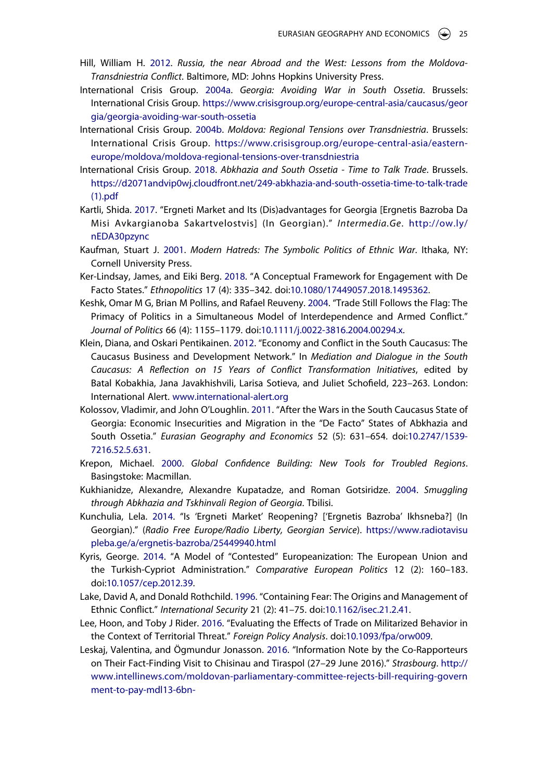- <span id="page-25-15"></span>Hill, William H. [2012.](#page-14-0) *Russia, the near Abroad and the West: Lessons from the Moldova-Transdniestria Conflict*. Baltimore, MD: Johns Hopkins University Press.
- <span id="page-25-11"></span>International Crisis Group. [2004a.](#page-10-1) *Georgia: Avoiding War in South Ossetia*. Brussels: International Crisis Group. https://www.crisisgroup.org/europe-central-asia/caucasus/geor gia/georgia-avoiding-war-south-ossetia
- <span id="page-25-14"></span>International Crisis Group. [2004b.](#page-14-1) *Moldova: Regional Tensions over Transdniestria*. Brussels: International Crisis Group. https://www.crisisgroup.org/europe-central-asia/easterneurope/moldova/moldova-regional-tensions-over-transdniestria
- <span id="page-25-4"></span>International Crisis Group. [2018.](#page-4-5) *Abkhazia and South Ossetia - Time to Talk Trade*. Brussels. https://d2071andvip0wj.cloudfront.net/249-abkhazia-and-south-ossetia-time-to-talk-trade (1).pdf
- <span id="page-25-12"></span>Kartli, Shida. [2017.](#page-10-2) "Ergneti Market and Its (Dis)advantages for Georgia [Ergnetis Bazroba Da Misi Avkargianoba Sakartvelostvis] (In Georgian)." *Intermedia.Ge*. http://ow.ly/ nEDA30pzync
- <span id="page-25-1"></span>Kaufman, Stuart J. [2001.](#page-3-6) *Modern Hatreds: The Symbolic Politics of Ethnic War*. Ithaka, NY: Cornell University Press.
- <span id="page-25-7"></span>Ker-Lindsay, James, and Eiki Berg. [2018.](#page-5-4) "A Conceptual Framework for Engagement with De Facto States." *Ethnopolitics* 17 (4): 335–342. doi:10.1080/17449057.2018.1495362.
- <span id="page-25-0"></span>Keshk, Omar M G, Brian M Pollins, and Rafael Reuveny. [2004.](#page-2-2) "Trade Still Follows the Flag: The Primacy of Politics in a Simultaneous Model of Interdependence and Armed Conflict." *Journal of Politics* 66 (4): 1155–1179. doi:10.1111/j.0022-3816.2004.00294.x.
- <span id="page-25-10"></span>Klein, Diana, and Oskari Pentikainen. [2012.](#page-8-0) "Economy and Conflict in the South Caucasus: The Caucasus Business and Development Network." In *Mediation and Dialogue in the South Caucasus: A Reflection on 15 Years of Conflict Transformation Initiatives*, edited by Batal Kobakhia, Jana Javakhishvili, Larisa Sotieva, and Juliet Schofield, 223–263. London: International Alert. www.international-alert.org
- <span id="page-25-9"></span>Kolossov, Vladimir, and John O'Loughlin. [2011.](#page-7-2) "After the Wars in the South Caucasus State of Georgia: Economic Insecurities and Migration in the "De Facto" States of Abkhazia and South Ossetia." *Eurasian Geography and Economics* 52 (5): 631–654. doi:10.2747/1539- 7216.52.5.631.
- <span id="page-25-5"></span>Krepon, Michael. [2000.](#page-4-6) *Global Confidence Building: New Tools for Troubled Regions*. Basingstoke: Macmillan.
- <span id="page-25-8"></span>Kukhianidze, Alexandre, Alexandre Kupatadze, and Roman Gotsiridze. [2004.](#page-7-3) *Smuggling through Abkhazia and Tskhinvali Region of Georgia*. Tbilisi.�
- <span id="page-25-13"></span>Kunchulia, Lela. [2014.](#page-11-1) "Is 'Ergneti Market' Reopening? ['Ergnetis Bazroba' Ikhsneba?] (In Georgian)." (*Radio Free Europe/Radio Liberty, Georgian Service*). https://www.radiotavisu pleba.ge/a/ergnetis-bazroba/25449940.html
- <span id="page-25-6"></span>Kyris, George. [2014.](#page-4-6) "A Model of "Contested" Europeanization: The European Union and the Turkish-Cypriot Administration." *Comparative European Politics* 12 (2): 160–183. doi:10.1057/cep.2012.39.
- <span id="page-25-2"></span>Lake, David A, and Donald Rothchild. [1996.](#page-3-4) "Containing Fear: The Origins and Management of Ethnic Conflict." *International Security* 21 (2): 41–75. doi:10.1162/isec.21.2.41.
- <span id="page-25-3"></span>Lee, Hoon, and Toby J Rider. [2016.](#page-4-7) "Evaluating the Effects of Trade on Militarized Behavior in the Context of Territorial Threat." *Foreign Policy Analysis*. doi:10.1093/fpa/orw009.
- <span id="page-25-16"></span>Leskaj, Valentina, and Ögmundur Jonasson. [2016.](#page-17-1) "Information Note by the Co-Rapporteurs on Their Fact-Finding Visit to Chisinau and Tiraspol (27–29 June 2016)." *Strasbourg*. http:// www.intellinews.com/moldovan-parliamentary-committee-rejects-bill-requiring-govern ment-to-pay-mdl13-6bn-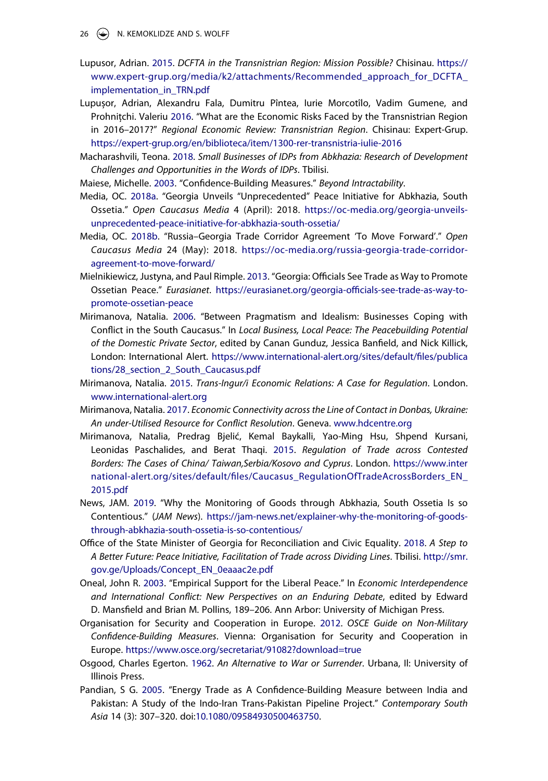- 26  $\left(\rightarrow\right)$  N. KEMOKLIDZE AND S. WOLFF
- <span id="page-26-15"></span>Lupusor, Adrian. [2015](#page-16-0). *DCFTA in the Transnistrian Region: Mission Possible?* Chisinau. https:// www.expert-grup.org/media/k2/attachments/Recommended\_approach\_for\_DCFTA implementation\_in\_TRN.pdf
- <span id="page-26-16"></span>Lupușor, Adrian, Alexandru Fala, Dumitru Pîntea, Iurie Morcotîlo, Vadim Gumene, and Prohnițchi. Valeriu [2016](#page-17-1). "What are the Economic Risks Faced by the Transnistrian Region in 2016–2017?" *Regional Economic Review: Transnistrian Region*. Chisinau: Expert-Grup. https://expert-grup.org/en/biblioteca/item/1300-rer-transnistria-iulie-2016
- <span id="page-26-9"></span>Macharashvili, Teona. [2018.](#page-8-1) *Small Businesses of IDPs from Abkhazia: Research of Development Challenges and Opportunities in the Words of IDPs*. Tbilisi.�
- <span id="page-26-2"></span>Maiese, Michelle. [2003](#page-3-7). "Confidence-Building Measures." *Beyond Intractability*�.
- <span id="page-26-12"></span>Media, OC. [2018a](#page-12-0). "Georgia Unveils "Unprecedented" Peace Initiative for Abkhazia, South Ossetia." *Open Caucasus Media* 4 (April): 2018. https://oc-media.org/georgia-unveilsunprecedented-peace-initiative-for-abkhazia-south-ossetia/
- <span id="page-26-13"></span>Media, OC. [2018b.](#page-12-1) "Russia–Georgia Trade Corridor Agreement 'To Move Forward'." *Open Caucasus Media* 24 (May): 2018. https://oc-media.org/russia-georgia-trade-corridoragreement-to-move-forward/
- <span id="page-26-11"></span>Mielnikiewicz, Justyna, and Paul Rimple. [2013.](#page-11-2) "Georgia: Officials See Trade as Way to Promote Ossetian Peace." *Eurasianet*. https://eurasianet.org/georgia-officials-see-trade-as-way-topromote-ossetian-peace
- <span id="page-26-5"></span>Mirimanova, Natalia. [2006](#page-4-8). "Between Pragmatism and Idealism: Businesses Coping with Conflict in the South Caucasus." In *Local Business, Local Peace: The Peacebuilding Potential of the Domestic Private Sector*, edited by Canan Gunduz, Jessica Banfield, and Nick Killick, London: International Alert. https://www.international-alert.org/sites/default/files/publica tions/28\_section\_2\_South\_Caucasus.pdf
- <span id="page-26-8"></span>Mirimanova, Natalia. [2015.](#page-8-2) *Trans-Ingur/i Economic Relations: A Case for Regulation*. London. www.international-alert.org
- <span id="page-26-6"></span>Mirimanova, Natalia. [2017.](#page-4-8) *Economic Connectivity across the Line of Contact in Donbas, Ukraine: An under-Utilised Resource for Conflict Resolution*. Geneva. www.hdcentre.org
- <span id="page-26-3"></span>Mirimanova, Natalia, Predrag Bjelić, Kemal Baykalli, Yao-Ming Hsu, Shpend Kursani, Leonidas Paschalides, and Berat Thaqi. [2015.](#page-3-2) *Regulation of Trade across Contested Borders: The Cases of China/ Taiwan,Serbia/Kosovo and Cyprus*. London. https://www.inter national-alert.org/sites/default/files/Caucasus\_RegulationOfTradeAcrossBorders\_EN\_ 2015.pdf
- <span id="page-26-14"></span>News, JAM. [2019.](#page-13-1) "Why the Monitoring of Goods through Abkhazia, South Ossetia Is so Contentious." (*JAM News*). https://jam-news.net/explainer-why-the-monitoring-of-goodsthrough-abkhazia-south-ossetia-is-so-contentious/
- <span id="page-26-10"></span>Office of the State Minister of Georgia for Reconciliation and Civic Equality. [2018](#page-9-2). *A Step to A Better Future: Peace Initiative, Facilitation of Trade across Dividing Lines*. Tbilisi. http://smr. gov.ge/Uploads/Concept\_EN\_0eaaac2e.pdf
- <span id="page-26-4"></span>Oneal, John R. [2003.](#page-4-9) "Empirical Support for the Liberal Peace." In *Economic Interdependence and International Conflict: New Perspectives on an Enduring Debate*, edited by Edward D. Mansfield and Brian M. Pollins, 189–206. Ann Arbor: University of Michigan Press.
- <span id="page-26-1"></span>Organisation for Security and Cooperation in Europe. [2012.](#page-3-8) *OSCE Guide on Non-Military Confidence-Building Measures*. Vienna: Organisation for Security and Cooperation in Europe. https://www.osce.org/secretariat/91082?download=true
- <span id="page-26-0"></span>Osgood, Charles Egerton. [1962.](#page-2-1) *An Alternative to War or Surrender*. Urbana, Il: University of Illinois Press.
- <span id="page-26-7"></span>Pandian, S G. [2005](#page-4-6). "Energy Trade as A Confidence-Building Measure between India and Pakistan: A Study of the Indo-Iran Trans-Pakistan Pipeline Project." *Contemporary South Asia* 14 (3): 307–320. doi:10.1080/09584930500463750.